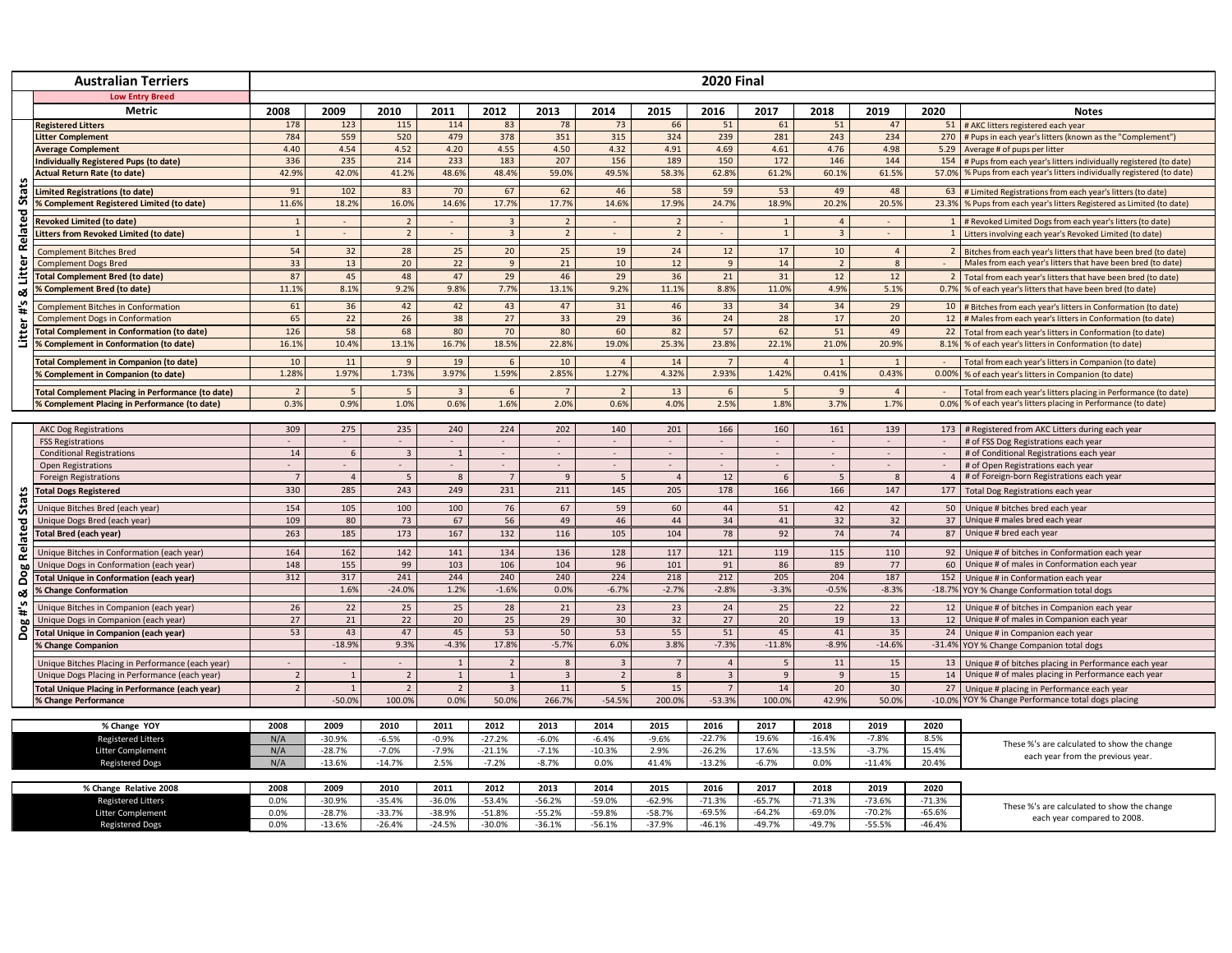| <b>Low Entry Breed</b><br><b>Metric</b><br>2008<br>2009<br>2010<br>2011<br>2012<br>2013<br>2015<br>2016<br>2017<br>2018<br>2020<br>2014<br>2019<br><b>Notes</b><br><b>Registered Litters</b><br>178<br>123<br>115<br>114<br>83<br>78<br>73<br>66<br>51<br>61<br>51<br>47<br>51 # AKC litters registered each year<br>784<br>559<br>520<br>479<br>378<br>351<br>315<br>324<br>239<br>281<br>243<br>234<br>270 # Pups in each year's litters (known as the "Complement")<br>litter Complement<br>4.40<br>4.54<br>4.52<br>4.20<br>4.55<br>4.50<br>4.32<br>4.91<br>4.69<br>4.61<br>4.76<br>4.98<br><b>Average Complement</b><br>5.29 Average # of pups per litter<br>189<br>336<br>235<br>214<br>233<br>183<br>207<br>146<br>Individually Registered Pups (to date)<br>156<br>150<br>172<br>144<br>154 # Pups from each year's litters individually registered (to date)<br>42.9%<br>42.0%<br>41.2%<br>48.6%<br>48.4%<br>49.5%<br>58.3%<br>59.0%<br>62.8%<br>61.2%<br>60.1%<br>61.5%<br>57.0% % Pups from each year's litters individually registered (to date)<br><b>Actual Return Rate (to date)</b><br>Stats<br>58<br>91<br>102<br>83<br>70<br>67<br>62<br>46<br>59<br>53<br>49<br>48<br><b>Limited Registrations (to date)</b><br>63<br># Limited Registrations from each year's litters (to date)<br>11.6%<br>18.2%<br>16.0%<br>14.6%<br>17.7%<br>17.7%<br>14.6%<br>17.9%<br>24.7%<br>18.9%<br>20.2%<br>20.5%<br>23.3%<br>% Complement Registered Limited (to date)<br>% Pups from each year's litters Registered as Limited (to date)<br><b>Litter Related</b><br>1 # Revoked Limited Dogs from each year's litters (to date)<br><b>Revoked Limited (to date)</b><br>$\mathbf{1}$<br>$\overline{4}$<br>$\mathbf{1}$<br>$\overline{2}$<br>$\mathbf{3}$<br>$\overline{2}$<br>$\overline{2}$<br>$\sim$<br>$\sim$<br>$\sim$<br>$\overline{\phantom{a}}$<br>$\overline{2}$<br>$\overline{2}$<br>$\overline{2}$<br>1<br>$\overline{3}$<br><b>Litters from Revoked Limited (to date)</b><br>$\mathbf{1}$<br>$\mathcal{L}$<br>$\sim$<br>$\overline{a}$<br>$\sim$<br>$\sim$<br>$\sim$<br>1 Litters involving each year's Revoked Limited (to date)<br>25<br>25<br>54<br>32<br>28<br>20<br>19<br>24<br>12<br>17<br>10<br><b>Complement Bitches Bred</b><br>$\overline{4}$<br>2 Bitches from each year's litters that have been bred (to date)<br>13<br>12<br><b>Complement Dogs Bred</b><br>33<br>20<br>22<br>9<br>21<br>10<br>9<br>14<br>$\overline{2}$<br>8<br>Males from each year's litters that have been bred (to date)<br>$\sim$<br>87<br>45<br>48<br>47<br>29<br>46<br>29<br>36<br>21<br>31<br><b>Total Complement Bred (to date)</b><br>12<br>12<br>2   Total from each year's litters that have been bred (to date)<br>11.1%<br>8.1%<br>9.2%<br>9.8%<br>7.7%<br>13.1%<br>9.2%<br>11.1%<br>8.8%<br>11.0%<br>4.9%<br>5.1%<br>% Complement Bred (to date)<br>0.7%<br>% of each year's litters that have been bred (to date)<br>ఱ<br>$\ddot{ }$ #<br>36<br>47<br>31<br>61<br>42<br>42<br>43<br>46<br>33<br>34<br>34<br>29<br><b>Complement Bitches in Conformation</b><br>10<br># Bitches from each year's litters in Conformation (to date)<br>22<br>26<br>38<br>27<br>33<br>29<br>36<br>24<br>28<br>17<br>12 # Males from each year's litters in Conformation (to date)<br><b>Complement Dogs in Conformation</b><br>65<br>20<br>Litter<br>58<br>57<br>126<br>68<br>80<br>70<br>80<br>60<br>82<br>62<br>51<br><b>Total Complement in Conformation (to date)</b><br>49<br>22 Total from each year's litters in Conformation (to date)<br>10.4%<br><b>6 Complement in Conformation (to date)</b><br>16.1%<br>13.1%<br>16.7%<br>18.5%<br>22.8%<br>19.0%<br>25.3%<br>23.8%<br>22.1%<br>21.0%<br>20.9%<br>8.1% % of each year's litters in Conformation (to date)<br>$10\,$<br>$11\,$<br>$\overline{9}$<br>19<br>$\,$ 6 $\,$<br>10<br>$\overline{4}$<br>14<br>$\overline{7}$<br>$\overline{4}$<br>$\mathbf{1}$<br><b>Fotal Complement in Companion (to date)</b><br>Total from each year's litters in Companion (to date)<br>2.85%<br>4.32%<br>2.93%<br>1.42%<br>0.41%<br>1.28%<br>1.97%<br>1.73%<br>3.97%<br>1.59%<br>1.27%<br>0.43%<br>0.00% % of each year's litters in Companion (to date)<br>% Complement in Companion (to date)<br><b>Total Complement Placing in Performance (to date)</b><br>$\overline{2}$<br>5 <sup>1</sup><br>$\overline{7}$<br>$\overline{2}$<br>13<br>9<br>5<br>$\overline{\mathbf{3}}$<br>6<br>6<br>5<br>$\overline{4}$<br>Total from each year's litters placing in Performance (to date)<br>0.9%<br>1.0%<br>0.6%<br>1.6%<br>2.0%<br>0.6%<br>4.0%<br>2.5%<br>1.8%<br>0.3%<br>3.7%<br>1.7%<br>% of each year's litters placing in Performance (to date)<br>6 Complement Placing in Performance (to date)<br>0.0%<br>275<br>202<br>309<br>235<br>240<br>224<br>140<br>201<br>166<br>160<br>161<br>139<br>173   # Registered from AKC Litters during each year<br><b>AKC Dog Registrations</b><br># of FSS Dog Registrations each year<br><b>FSS Registrations</b><br>$\sim$<br>$\sim$<br>$\sim$<br>$\sim$<br>$\sim$<br>$\sim$<br>$\overline{\phantom{a}}$<br>$\sim$<br>$\sim$<br>$\sim$<br>$\sim$<br>$\sim$<br>$\sim$<br><b>Conditional Registrations</b><br>14<br>$6\overline{6}$<br>$\overline{\mathbf{3}}$<br># of Conditional Registrations each year<br>1<br>$\sim$<br>$\sim$<br>$\sim$<br>$\sim$<br>$\sim$<br>$\sim$<br>$\sim$<br>$\sim$<br>$\sim$<br># of Open Registrations each year<br><b>Open Registrations</b><br>$\sim$<br>$\sim$<br>$\sim$<br>$\sim$<br>12<br>$\overline{4}$<br>5<br>$\mathbf{8}$<br>9<br>$\overline{a}$<br>5<br>4 # of Foreign-born Registrations each year<br><b>Foreign Registrations</b><br>5<br>6<br>$\mathbf{R}$<br>$\overline{7}$<br>330<br>285<br>243<br>249<br>231<br>211<br>145<br>205<br>178<br>166<br>166<br>147<br>177 Total Dog Registrations each year<br>చి<br><b>Total Dogs Registered</b><br><b>Sta</b><br>154<br>105<br>100<br>100<br>76<br>67<br>59<br>60<br>44<br>51<br>42<br>42<br>50 Unique # bitches bred each year<br>Unique Bitches Bred (each year)<br>37 Unique # males bred each year<br>Related<br>109<br>80<br>73<br>67<br>56<br>49<br>46<br>44<br>34<br>41<br>32<br>32<br>Unique Dogs Bred (each year)<br>263<br>185<br>173<br>167<br>132<br>116<br>105<br>104<br>78<br>92<br>74<br>74<br>87 Unique # bred each year<br><b>Total Bred (each year)</b><br>162<br>142<br>141<br>134<br>136<br>128<br>117<br>121<br>119<br>115<br>110<br>164<br>Unique Bitches in Conformation (each year)<br>92 Unique # of bitches in Conformation each year<br>155<br>104<br>89<br>148<br>99<br>103<br>106<br>96<br>101<br>91<br>86<br>60 Unique # of males in Conformation each year<br>Unique Dogs in Conformation (each year)<br>77<br>ဗွ<br>241<br>244<br>240<br>240<br>224<br>218<br>212<br>204<br>187<br>312<br>317<br>205<br>Total Unique in Conformation (each year)<br>152<br>Unique # in Conformation each year<br>ó<br>1.6%<br>$-24.0%$<br>1.2%<br>$-1.6%$<br>0.0%<br>$-6.7%$<br>$-2.7%$<br>$-2.8%$<br>$-3.3%$<br>$-0.5%$<br>$-8.3%$<br>-18.7% YOY % Change Conformation total dogs<br>% Change Conformation<br>ಜ<br>$\ddot{ }$ #<br>22<br>25<br>25<br>21<br>24<br>22<br>26<br>28<br>23<br>23<br>25<br>22<br>Unique # of bitches in Companion each year<br>Unique Bitches in Companion (each year)<br>12<br>27<br>21<br>22<br>20<br>25<br>29<br>30<br>32<br>27<br>20<br>13<br>12 Unique # of males in Companion each year<br>Unique Dogs in Companion (each year)<br>19<br>Dog<br>53<br>43<br>47<br>45<br>55<br>51<br>53<br>50<br>53<br>45<br>41<br>35<br>24 Unique # in Companion each year<br><b>Total Unique in Companion (each year)</b><br>9.3%<br>3.8%<br>$-8.9%$<br>$-18.9%$<br>$-4.3%$<br>17.8%<br>$-5.7%$<br>6.0%<br>$-7.3%$<br>$-11.8%$<br>$-14.6%$<br>% Change Companion<br>-31.4% YOY % Change Companion total dogs<br>Unique Bitches Placing in Performance (each year)<br>8<br>$\overline{3}$<br>$\overline{7}$<br>$\overline{4}$<br>11<br>15<br>13 Unique # of bitches placing in Performance each year<br>$\sim$<br>$\overline{1}$<br>$\overline{2}$<br>5<br>$\overline{2}$<br>$\overline{2}$<br>$\overline{3}$<br>$\overline{9}$<br>15<br>14 Unique # of males placing in Performance each year<br>$\overline{3}$<br>$\overline{9}$<br>Unique Dogs Placing in Performance (each year)<br>$\overline{2}$<br>$\mathbf{8}$<br>$\mathbf{1}$<br>14<br>11<br>15<br>20<br>30 <sup>°</sup><br>27 Unique # placing in Performance each year<br><b>Total Unique Placing in Performance (each year)</b><br>$\overline{2}$<br>$\mathbf{1}$<br>$\overline{2}$<br>$\overline{2}$<br>$\overline{3}$<br>5<br>$\overline{7}$<br>100.0%<br>266.7%<br>$-54.5%$<br>$-53.3%$<br>42.9%<br>$-50.0%$<br>0.0%<br>50.0%<br>200.0%<br>100.0%<br>50.0%<br>-10.0% YOY % Change Performance total dogs placing<br><b>% Change Performance</b><br>2008<br>2009<br>2010<br>2012<br>2013<br>2015<br>2017<br>2018<br>2019<br>2020<br>2011<br>2014<br>2016<br>% Change YOY<br>N/A<br>$-30.9%$<br>$-6.5%$<br>$-0.9%$<br>$-27.2%$<br>$-6.0%$<br>$-6.4%$<br>$-9.6%$<br>$-22.7%$<br>19.6%<br>$-16.4%$<br>$-7.8%$<br>8.5%<br><b>Registered Litters</b><br>These %'s are calculated to show the change<br>N/A<br>$-10.3%$<br>$-26.2%$<br>17.6%<br>$-13.5%$<br>$-3.7%$<br>15.4%<br>$-28.7%$<br>$-7.0%$<br>$-7.9%$<br>$-21.1%$<br>$-7.1%$<br>2.9%<br>Litter Complement<br>each year from the previous year.<br>N/A<br>$-13.6%$<br>$-14.7%$<br>2.5%<br>$-7.2%$<br>$-8.7%$<br>0.0%<br>41.4%<br>$-13.2%$<br>$-6.7%$<br>0.0%<br>$-11.4%$<br>20.4%<br><b>Registered Dogs</b><br>2008<br>2009<br>2010<br>2011<br>2012<br>2013<br>2015<br>2017<br>2018<br>2019<br>% Change Relative 2008<br>2014<br>2016<br>2020<br>$-65.7%$<br>$-73.6%$<br>0.0%<br>$-30.9%$<br>$-36.0%$<br>$-59.0%$<br>$-71.3%$<br>$-71.3%$<br>$-71.3%$<br>$-35.4%$<br>$-53.4%$<br>$-56.2%$<br>$-62.9%$<br><b>Registered Litters</b><br>These %'s are calculated to show the change<br>0.0%<br>$-28.7%$<br>$-33.7%$<br>$-38.9%$<br>$-51.8%$<br>$-55.2%$<br>$-59.8%$<br>$-58.7%$<br>$-69.5%$<br>$-64.2%$<br>$-69.0%$<br>$-70.2%$<br>$-65.6%$<br>Litter Complement<br>each year compared to 2008<br>0.0%<br>$-30.0%$<br>$-49.7%$<br>$-55.5%$<br>$-13.6%$<br>$-26.4%$<br>$-24.5%$<br>$-36.1%$<br>$-56.1%$<br>$-37.9%$<br>$-46.1%$<br>$-49.7%$<br>$-46.4%$<br><b>Registered Dogs</b> | <b>Australian Terriers</b> |  | <b>2020 Final</b> |  |  |  |  |  |  |  |  |  |  |  |  |  |
|---------------------------------------------------------------------------------------------------------------------------------------------------------------------------------------------------------------------------------------------------------------------------------------------------------------------------------------------------------------------------------------------------------------------------------------------------------------------------------------------------------------------------------------------------------------------------------------------------------------------------------------------------------------------------------------------------------------------------------------------------------------------------------------------------------------------------------------------------------------------------------------------------------------------------------------------------------------------------------------------------------------------------------------------------------------------------------------------------------------------------------------------------------------------------------------------------------------------------------------------------------------------------------------------------------------------------------------------------------------------------------------------------------------------------------------------------------------------------------------------------------------------------------------------------------------------------------------------------------------------------------------------------------------------------------------------------------------------------------------------------------------------------------------------------------------------------------------------------------------------------------------------------------------------------------------------------------------------------------------------------------------------------------------------------------------------------------------------------------------------------------------------------------------------------------------------------------------------------------------------------------------------------------------------------------------------------------------------------------------------------------------------------------------------------------------------------------------------------------------------------------------------------------------------------------------------------------------------------------------------------------------------------------------------------------------------------------------------------------------------------------------------------------------------------------------------------------------------------------------------------------------------------------------------------------------------------------------------------------------------------------------------------------------------------------------------------------------------------------------------------------------------------------------------------------------------------------------------------------------------------------------------------------------------------------------------------------------------------------------------------------------------------------------------------------------------------------------------------------------------------------------------------------------------------------------------------------------------------------------------------------------------------------------------------------------------------------------------------------------------------------------------------------------------------------------------------------------------------------------------------------------------------------------------------------------------------------------------------------------------------------------------------------------------------------------------------------------------------------------------------------------------------------------------------------------------------------------------------------------------------------------------------------------------------------------------------------------------------------------------------------------------------------------------------------------------------------------------------------------------------------------------------------------------------------------------------------------------------------------------------------------------------------------------------------------------------------------------------------------------------------------------------------------------------------------------------------------------------------------------------------------------------------------------------------------------------------------------------------------------------------------------------------------------------------------------------------------------------------------------------------------------------------------------------------------------------------------------------------------------------------------------------------------------------------------------------------------------------------------------------------------------------------------------------------------------------------------------------------------------------------------------------------------------------------------------------------------------------------------------------------------------------------------------------------------------------------------------------------------------------------------------------------------------------------------------------------------------------------------------------------------------------------------------------------------------------------------------------------------------------------------------------------------------------------------------------------------------------------------------------------------------------------------------------------------------------------------------------------------------------------------------------------------------------------------------------------------------------------------------------------------------------------------------------------------------------------------------------------------------------------------------------------------------------------------------------------------------------------------------------------------------------------------------------------------------------------------------------------------------------------------------------------------------------------------------------------------------------------------------------------------------------------------------------------------------------------------------------------------------------------------------------------------------------------------------------------------------------------------------------------------------------------------------------------------------------------------------------------------------------------------------------------------------------------------------------------------------------------------------------------------------------------------------------------------------------------------------------------------------------------------------------------------------------------------------------------------------------------------------------------------------------------------------------------------------------------------------------------------------------------------------------------------------------------------------------------------------------------------------------------------------------------------------------------------------------------------------------------------------------------------------------------------------------------------------------------------------------------------------------------------------------------------------------------------------------------------------------------------------------------------------------------------------------------------------------------------------------------------------------------------------------------------------------------------------------------------------------------------------------------------------------------------------------------------------------------------------------------------------------------------------------------------------------------------------------------------------------------------------------------------------------------------------------------------------------------------------------------------------------------------------------------------------------------------------------------------------------------------------------------------------------------------------------------------------------------------------------------------------------------------------------------------------------------------------------------------------------------------------------------------------------------------------------------------------------------------------------------------------------------------------------------------------------------------------------------------------------------------------------------------------------------------------------------------------------------------------------------------------------------------------------------------------------------------------------------------------------------------------------------------------------------------------------------------------------------------------------------------------------------------------------------------------------------------------------------------------------------------------------------------------------------------------------------------------------------------------------------------------------------------------------------------------------------------------------------------------------------------------------------------------------------------------------|----------------------------|--|-------------------|--|--|--|--|--|--|--|--|--|--|--|--|--|
|                                                                                                                                                                                                                                                                                                                                                                                                                                                                                                                                                                                                                                                                                                                                                                                                                                                                                                                                                                                                                                                                                                                                                                                                                                                                                                                                                                                                                                                                                                                                                                                                                                                                                                                                                                                                                                                                                                                                                                                                                                                                                                                                                                                                                                                                                                                                                                                                                                                                                                                                                                                                                                                                                                                                                                                                                                                                                                                                                                                                                                                                                                                                                                                                                                                                                                                                                                                                                                                                                                                                                                                                                                                                                                                                                                                                                                                                                                                                                                                                                                                                                                                                                                                                                                                                                                                                                                                                                                                                                                                                                                                                                                                                                                                                                                                                                                                                                                                                                                                                                                                                                                                                                                                                                                                                                                                                                                                                                                                                                                                                                                                                                                                                                                                                                                                                                                                                                                                                                                                                                                                                                                                                                                                                                                                                                                                                                                                                                                                                                                                                                                                                                                                                                                                                                                                                                                                                                                                                                                                                                                                                                                                                                                                                                                                                                                                                                                                                                                                                                                                                                                                                                                                                                                                                                                                                                                                                                                                                                                                                                                                                                                                                                                                                                                                                                                                                                                                                                                                                                                                                                                                                                                                                                                                                                                                                                                                                                                                                                                                                                                                                                                                                                                                                                                                                                                                                                                                                                                                                                                                                                                                                                                                                                                                                                                                                                                                                                                                                                                                                                                                                                                                                                                                                                                                                                                   |                            |  |                   |  |  |  |  |  |  |  |  |  |  |  |  |  |
|                                                                                                                                                                                                                                                                                                                                                                                                                                                                                                                                                                                                                                                                                                                                                                                                                                                                                                                                                                                                                                                                                                                                                                                                                                                                                                                                                                                                                                                                                                                                                                                                                                                                                                                                                                                                                                                                                                                                                                                                                                                                                                                                                                                                                                                                                                                                                                                                                                                                                                                                                                                                                                                                                                                                                                                                                                                                                                                                                                                                                                                                                                                                                                                                                                                                                                                                                                                                                                                                                                                                                                                                                                                                                                                                                                                                                                                                                                                                                                                                                                                                                                                                                                                                                                                                                                                                                                                                                                                                                                                                                                                                                                                                                                                                                                                                                                                                                                                                                                                                                                                                                                                                                                                                                                                                                                                                                                                                                                                                                                                                                                                                                                                                                                                                                                                                                                                                                                                                                                                                                                                                                                                                                                                                                                                                                                                                                                                                                                                                                                                                                                                                                                                                                                                                                                                                                                                                                                                                                                                                                                                                                                                                                                                                                                                                                                                                                                                                                                                                                                                                                                                                                                                                                                                                                                                                                                                                                                                                                                                                                                                                                                                                                                                                                                                                                                                                                                                                                                                                                                                                                                                                                                                                                                                                                                                                                                                                                                                                                                                                                                                                                                                                                                                                                                                                                                                                                                                                                                                                                                                                                                                                                                                                                                                                                                                                                                                                                                                                                                                                                                                                                                                                                                                                                                                                                                   |                            |  |                   |  |  |  |  |  |  |  |  |  |  |  |  |  |
|                                                                                                                                                                                                                                                                                                                                                                                                                                                                                                                                                                                                                                                                                                                                                                                                                                                                                                                                                                                                                                                                                                                                                                                                                                                                                                                                                                                                                                                                                                                                                                                                                                                                                                                                                                                                                                                                                                                                                                                                                                                                                                                                                                                                                                                                                                                                                                                                                                                                                                                                                                                                                                                                                                                                                                                                                                                                                                                                                                                                                                                                                                                                                                                                                                                                                                                                                                                                                                                                                                                                                                                                                                                                                                                                                                                                                                                                                                                                                                                                                                                                                                                                                                                                                                                                                                                                                                                                                                                                                                                                                                                                                                                                                                                                                                                                                                                                                                                                                                                                                                                                                                                                                                                                                                                                                                                                                                                                                                                                                                                                                                                                                                                                                                                                                                                                                                                                                                                                                                                                                                                                                                                                                                                                                                                                                                                                                                                                                                                                                                                                                                                                                                                                                                                                                                                                                                                                                                                                                                                                                                                                                                                                                                                                                                                                                                                                                                                                                                                                                                                                                                                                                                                                                                                                                                                                                                                                                                                                                                                                                                                                                                                                                                                                                                                                                                                                                                                                                                                                                                                                                                                                                                                                                                                                                                                                                                                                                                                                                                                                                                                                                                                                                                                                                                                                                                                                                                                                                                                                                                                                                                                                                                                                                                                                                                                                                                                                                                                                                                                                                                                                                                                                                                                                                                                                                                   |                            |  |                   |  |  |  |  |  |  |  |  |  |  |  |  |  |
|                                                                                                                                                                                                                                                                                                                                                                                                                                                                                                                                                                                                                                                                                                                                                                                                                                                                                                                                                                                                                                                                                                                                                                                                                                                                                                                                                                                                                                                                                                                                                                                                                                                                                                                                                                                                                                                                                                                                                                                                                                                                                                                                                                                                                                                                                                                                                                                                                                                                                                                                                                                                                                                                                                                                                                                                                                                                                                                                                                                                                                                                                                                                                                                                                                                                                                                                                                                                                                                                                                                                                                                                                                                                                                                                                                                                                                                                                                                                                                                                                                                                                                                                                                                                                                                                                                                                                                                                                                                                                                                                                                                                                                                                                                                                                                                                                                                                                                                                                                                                                                                                                                                                                                                                                                                                                                                                                                                                                                                                                                                                                                                                                                                                                                                                                                                                                                                                                                                                                                                                                                                                                                                                                                                                                                                                                                                                                                                                                                                                                                                                                                                                                                                                                                                                                                                                                                                                                                                                                                                                                                                                                                                                                                                                                                                                                                                                                                                                                                                                                                                                                                                                                                                                                                                                                                                                                                                                                                                                                                                                                                                                                                                                                                                                                                                                                                                                                                                                                                                                                                                                                                                                                                                                                                                                                                                                                                                                                                                                                                                                                                                                                                                                                                                                                                                                                                                                                                                                                                                                                                                                                                                                                                                                                                                                                                                                                                                                                                                                                                                                                                                                                                                                                                                                                                                                                                   |                            |  |                   |  |  |  |  |  |  |  |  |  |  |  |  |  |
|                                                                                                                                                                                                                                                                                                                                                                                                                                                                                                                                                                                                                                                                                                                                                                                                                                                                                                                                                                                                                                                                                                                                                                                                                                                                                                                                                                                                                                                                                                                                                                                                                                                                                                                                                                                                                                                                                                                                                                                                                                                                                                                                                                                                                                                                                                                                                                                                                                                                                                                                                                                                                                                                                                                                                                                                                                                                                                                                                                                                                                                                                                                                                                                                                                                                                                                                                                                                                                                                                                                                                                                                                                                                                                                                                                                                                                                                                                                                                                                                                                                                                                                                                                                                                                                                                                                                                                                                                                                                                                                                                                                                                                                                                                                                                                                                                                                                                                                                                                                                                                                                                                                                                                                                                                                                                                                                                                                                                                                                                                                                                                                                                                                                                                                                                                                                                                                                                                                                                                                                                                                                                                                                                                                                                                                                                                                                                                                                                                                                                                                                                                                                                                                                                                                                                                                                                                                                                                                                                                                                                                                                                                                                                                                                                                                                                                                                                                                                                                                                                                                                                                                                                                                                                                                                                                                                                                                                                                                                                                                                                                                                                                                                                                                                                                                                                                                                                                                                                                                                                                                                                                                                                                                                                                                                                                                                                                                                                                                                                                                                                                                                                                                                                                                                                                                                                                                                                                                                                                                                                                                                                                                                                                                                                                                                                                                                                                                                                                                                                                                                                                                                                                                                                                                                                                                                                                   |                            |  |                   |  |  |  |  |  |  |  |  |  |  |  |  |  |
|                                                                                                                                                                                                                                                                                                                                                                                                                                                                                                                                                                                                                                                                                                                                                                                                                                                                                                                                                                                                                                                                                                                                                                                                                                                                                                                                                                                                                                                                                                                                                                                                                                                                                                                                                                                                                                                                                                                                                                                                                                                                                                                                                                                                                                                                                                                                                                                                                                                                                                                                                                                                                                                                                                                                                                                                                                                                                                                                                                                                                                                                                                                                                                                                                                                                                                                                                                                                                                                                                                                                                                                                                                                                                                                                                                                                                                                                                                                                                                                                                                                                                                                                                                                                                                                                                                                                                                                                                                                                                                                                                                                                                                                                                                                                                                                                                                                                                                                                                                                                                                                                                                                                                                                                                                                                                                                                                                                                                                                                                                                                                                                                                                                                                                                                                                                                                                                                                                                                                                                                                                                                                                                                                                                                                                                                                                                                                                                                                                                                                                                                                                                                                                                                                                                                                                                                                                                                                                                                                                                                                                                                                                                                                                                                                                                                                                                                                                                                                                                                                                                                                                                                                                                                                                                                                                                                                                                                                                                                                                                                                                                                                                                                                                                                                                                                                                                                                                                                                                                                                                                                                                                                                                                                                                                                                                                                                                                                                                                                                                                                                                                                                                                                                                                                                                                                                                                                                                                                                                                                                                                                                                                                                                                                                                                                                                                                                                                                                                                                                                                                                                                                                                                                                                                                                                                                                                   |                            |  |                   |  |  |  |  |  |  |  |  |  |  |  |  |  |
|                                                                                                                                                                                                                                                                                                                                                                                                                                                                                                                                                                                                                                                                                                                                                                                                                                                                                                                                                                                                                                                                                                                                                                                                                                                                                                                                                                                                                                                                                                                                                                                                                                                                                                                                                                                                                                                                                                                                                                                                                                                                                                                                                                                                                                                                                                                                                                                                                                                                                                                                                                                                                                                                                                                                                                                                                                                                                                                                                                                                                                                                                                                                                                                                                                                                                                                                                                                                                                                                                                                                                                                                                                                                                                                                                                                                                                                                                                                                                                                                                                                                                                                                                                                                                                                                                                                                                                                                                                                                                                                                                                                                                                                                                                                                                                                                                                                                                                                                                                                                                                                                                                                                                                                                                                                                                                                                                                                                                                                                                                                                                                                                                                                                                                                                                                                                                                                                                                                                                                                                                                                                                                                                                                                                                                                                                                                                                                                                                                                                                                                                                                                                                                                                                                                                                                                                                                                                                                                                                                                                                                                                                                                                                                                                                                                                                                                                                                                                                                                                                                                                                                                                                                                                                                                                                                                                                                                                                                                                                                                                                                                                                                                                                                                                                                                                                                                                                                                                                                                                                                                                                                                                                                                                                                                                                                                                                                                                                                                                                                                                                                                                                                                                                                                                                                                                                                                                                                                                                                                                                                                                                                                                                                                                                                                                                                                                                                                                                                                                                                                                                                                                                                                                                                                                                                                                                                   |                            |  |                   |  |  |  |  |  |  |  |  |  |  |  |  |  |
|                                                                                                                                                                                                                                                                                                                                                                                                                                                                                                                                                                                                                                                                                                                                                                                                                                                                                                                                                                                                                                                                                                                                                                                                                                                                                                                                                                                                                                                                                                                                                                                                                                                                                                                                                                                                                                                                                                                                                                                                                                                                                                                                                                                                                                                                                                                                                                                                                                                                                                                                                                                                                                                                                                                                                                                                                                                                                                                                                                                                                                                                                                                                                                                                                                                                                                                                                                                                                                                                                                                                                                                                                                                                                                                                                                                                                                                                                                                                                                                                                                                                                                                                                                                                                                                                                                                                                                                                                                                                                                                                                                                                                                                                                                                                                                                                                                                                                                                                                                                                                                                                                                                                                                                                                                                                                                                                                                                                                                                                                                                                                                                                                                                                                                                                                                                                                                                                                                                                                                                                                                                                                                                                                                                                                                                                                                                                                                                                                                                                                                                                                                                                                                                                                                                                                                                                                                                                                                                                                                                                                                                                                                                                                                                                                                                                                                                                                                                                                                                                                                                                                                                                                                                                                                                                                                                                                                                                                                                                                                                                                                                                                                                                                                                                                                                                                                                                                                                                                                                                                                                                                                                                                                                                                                                                                                                                                                                                                                                                                                                                                                                                                                                                                                                                                                                                                                                                                                                                                                                                                                                                                                                                                                                                                                                                                                                                                                                                                                                                                                                                                                                                                                                                                                                                                                                                                                   |                            |  |                   |  |  |  |  |  |  |  |  |  |  |  |  |  |
|                                                                                                                                                                                                                                                                                                                                                                                                                                                                                                                                                                                                                                                                                                                                                                                                                                                                                                                                                                                                                                                                                                                                                                                                                                                                                                                                                                                                                                                                                                                                                                                                                                                                                                                                                                                                                                                                                                                                                                                                                                                                                                                                                                                                                                                                                                                                                                                                                                                                                                                                                                                                                                                                                                                                                                                                                                                                                                                                                                                                                                                                                                                                                                                                                                                                                                                                                                                                                                                                                                                                                                                                                                                                                                                                                                                                                                                                                                                                                                                                                                                                                                                                                                                                                                                                                                                                                                                                                                                                                                                                                                                                                                                                                                                                                                                                                                                                                                                                                                                                                                                                                                                                                                                                                                                                                                                                                                                                                                                                                                                                                                                                                                                                                                                                                                                                                                                                                                                                                                                                                                                                                                                                                                                                                                                                                                                                                                                                                                                                                                                                                                                                                                                                                                                                                                                                                                                                                                                                                                                                                                                                                                                                                                                                                                                                                                                                                                                                                                                                                                                                                                                                                                                                                                                                                                                                                                                                                                                                                                                                                                                                                                                                                                                                                                                                                                                                                                                                                                                                                                                                                                                                                                                                                                                                                                                                                                                                                                                                                                                                                                                                                                                                                                                                                                                                                                                                                                                                                                                                                                                                                                                                                                                                                                                                                                                                                                                                                                                                                                                                                                                                                                                                                                                                                                                                                                   |                            |  |                   |  |  |  |  |  |  |  |  |  |  |  |  |  |
|                                                                                                                                                                                                                                                                                                                                                                                                                                                                                                                                                                                                                                                                                                                                                                                                                                                                                                                                                                                                                                                                                                                                                                                                                                                                                                                                                                                                                                                                                                                                                                                                                                                                                                                                                                                                                                                                                                                                                                                                                                                                                                                                                                                                                                                                                                                                                                                                                                                                                                                                                                                                                                                                                                                                                                                                                                                                                                                                                                                                                                                                                                                                                                                                                                                                                                                                                                                                                                                                                                                                                                                                                                                                                                                                                                                                                                                                                                                                                                                                                                                                                                                                                                                                                                                                                                                                                                                                                                                                                                                                                                                                                                                                                                                                                                                                                                                                                                                                                                                                                                                                                                                                                                                                                                                                                                                                                                                                                                                                                                                                                                                                                                                                                                                                                                                                                                                                                                                                                                                                                                                                                                                                                                                                                                                                                                                                                                                                                                                                                                                                                                                                                                                                                                                                                                                                                                                                                                                                                                                                                                                                                                                                                                                                                                                                                                                                                                                                                                                                                                                                                                                                                                                                                                                                                                                                                                                                                                                                                                                                                                                                                                                                                                                                                                                                                                                                                                                                                                                                                                                                                                                                                                                                                                                                                                                                                                                                                                                                                                                                                                                                                                                                                                                                                                                                                                                                                                                                                                                                                                                                                                                                                                                                                                                                                                                                                                                                                                                                                                                                                                                                                                                                                                                                                                                                                                   |                            |  |                   |  |  |  |  |  |  |  |  |  |  |  |  |  |
|                                                                                                                                                                                                                                                                                                                                                                                                                                                                                                                                                                                                                                                                                                                                                                                                                                                                                                                                                                                                                                                                                                                                                                                                                                                                                                                                                                                                                                                                                                                                                                                                                                                                                                                                                                                                                                                                                                                                                                                                                                                                                                                                                                                                                                                                                                                                                                                                                                                                                                                                                                                                                                                                                                                                                                                                                                                                                                                                                                                                                                                                                                                                                                                                                                                                                                                                                                                                                                                                                                                                                                                                                                                                                                                                                                                                                                                                                                                                                                                                                                                                                                                                                                                                                                                                                                                                                                                                                                                                                                                                                                                                                                                                                                                                                                                                                                                                                                                                                                                                                                                                                                                                                                                                                                                                                                                                                                                                                                                                                                                                                                                                                                                                                                                                                                                                                                                                                                                                                                                                                                                                                                                                                                                                                                                                                                                                                                                                                                                                                                                                                                                                                                                                                                                                                                                                                                                                                                                                                                                                                                                                                                                                                                                                                                                                                                                                                                                                                                                                                                                                                                                                                                                                                                                                                                                                                                                                                                                                                                                                                                                                                                                                                                                                                                                                                                                                                                                                                                                                                                                                                                                                                                                                                                                                                                                                                                                                                                                                                                                                                                                                                                                                                                                                                                                                                                                                                                                                                                                                                                                                                                                                                                                                                                                                                                                                                                                                                                                                                                                                                                                                                                                                                                                                                                                                                                   |                            |  |                   |  |  |  |  |  |  |  |  |  |  |  |  |  |
|                                                                                                                                                                                                                                                                                                                                                                                                                                                                                                                                                                                                                                                                                                                                                                                                                                                                                                                                                                                                                                                                                                                                                                                                                                                                                                                                                                                                                                                                                                                                                                                                                                                                                                                                                                                                                                                                                                                                                                                                                                                                                                                                                                                                                                                                                                                                                                                                                                                                                                                                                                                                                                                                                                                                                                                                                                                                                                                                                                                                                                                                                                                                                                                                                                                                                                                                                                                                                                                                                                                                                                                                                                                                                                                                                                                                                                                                                                                                                                                                                                                                                                                                                                                                                                                                                                                                                                                                                                                                                                                                                                                                                                                                                                                                                                                                                                                                                                                                                                                                                                                                                                                                                                                                                                                                                                                                                                                                                                                                                                                                                                                                                                                                                                                                                                                                                                                                                                                                                                                                                                                                                                                                                                                                                                                                                                                                                                                                                                                                                                                                                                                                                                                                                                                                                                                                                                                                                                                                                                                                                                                                                                                                                                                                                                                                                                                                                                                                                                                                                                                                                                                                                                                                                                                                                                                                                                                                                                                                                                                                                                                                                                                                                                                                                                                                                                                                                                                                                                                                                                                                                                                                                                                                                                                                                                                                                                                                                                                                                                                                                                                                                                                                                                                                                                                                                                                                                                                                                                                                                                                                                                                                                                                                                                                                                                                                                                                                                                                                                                                                                                                                                                                                                                                                                                                                                                   |                            |  |                   |  |  |  |  |  |  |  |  |  |  |  |  |  |
|                                                                                                                                                                                                                                                                                                                                                                                                                                                                                                                                                                                                                                                                                                                                                                                                                                                                                                                                                                                                                                                                                                                                                                                                                                                                                                                                                                                                                                                                                                                                                                                                                                                                                                                                                                                                                                                                                                                                                                                                                                                                                                                                                                                                                                                                                                                                                                                                                                                                                                                                                                                                                                                                                                                                                                                                                                                                                                                                                                                                                                                                                                                                                                                                                                                                                                                                                                                                                                                                                                                                                                                                                                                                                                                                                                                                                                                                                                                                                                                                                                                                                                                                                                                                                                                                                                                                                                                                                                                                                                                                                                                                                                                                                                                                                                                                                                                                                                                                                                                                                                                                                                                                                                                                                                                                                                                                                                                                                                                                                                                                                                                                                                                                                                                                                                                                                                                                                                                                                                                                                                                                                                                                                                                                                                                                                                                                                                                                                                                                                                                                                                                                                                                                                                                                                                                                                                                                                                                                                                                                                                                                                                                                                                                                                                                                                                                                                                                                                                                                                                                                                                                                                                                                                                                                                                                                                                                                                                                                                                                                                                                                                                                                                                                                                                                                                                                                                                                                                                                                                                                                                                                                                                                                                                                                                                                                                                                                                                                                                                                                                                                                                                                                                                                                                                                                                                                                                                                                                                                                                                                                                                                                                                                                                                                                                                                                                                                                                                                                                                                                                                                                                                                                                                                                                                                                                                   |                            |  |                   |  |  |  |  |  |  |  |  |  |  |  |  |  |
|                                                                                                                                                                                                                                                                                                                                                                                                                                                                                                                                                                                                                                                                                                                                                                                                                                                                                                                                                                                                                                                                                                                                                                                                                                                                                                                                                                                                                                                                                                                                                                                                                                                                                                                                                                                                                                                                                                                                                                                                                                                                                                                                                                                                                                                                                                                                                                                                                                                                                                                                                                                                                                                                                                                                                                                                                                                                                                                                                                                                                                                                                                                                                                                                                                                                                                                                                                                                                                                                                                                                                                                                                                                                                                                                                                                                                                                                                                                                                                                                                                                                                                                                                                                                                                                                                                                                                                                                                                                                                                                                                                                                                                                                                                                                                                                                                                                                                                                                                                                                                                                                                                                                                                                                                                                                                                                                                                                                                                                                                                                                                                                                                                                                                                                                                                                                                                                                                                                                                                                                                                                                                                                                                                                                                                                                                                                                                                                                                                                                                                                                                                                                                                                                                                                                                                                                                                                                                                                                                                                                                                                                                                                                                                                                                                                                                                                                                                                                                                                                                                                                                                                                                                                                                                                                                                                                                                                                                                                                                                                                                                                                                                                                                                                                                                                                                                                                                                                                                                                                                                                                                                                                                                                                                                                                                                                                                                                                                                                                                                                                                                                                                                                                                                                                                                                                                                                                                                                                                                                                                                                                                                                                                                                                                                                                                                                                                                                                                                                                                                                                                                                                                                                                                                                                                                                                                                   |                            |  |                   |  |  |  |  |  |  |  |  |  |  |  |  |  |
|                                                                                                                                                                                                                                                                                                                                                                                                                                                                                                                                                                                                                                                                                                                                                                                                                                                                                                                                                                                                                                                                                                                                                                                                                                                                                                                                                                                                                                                                                                                                                                                                                                                                                                                                                                                                                                                                                                                                                                                                                                                                                                                                                                                                                                                                                                                                                                                                                                                                                                                                                                                                                                                                                                                                                                                                                                                                                                                                                                                                                                                                                                                                                                                                                                                                                                                                                                                                                                                                                                                                                                                                                                                                                                                                                                                                                                                                                                                                                                                                                                                                                                                                                                                                                                                                                                                                                                                                                                                                                                                                                                                                                                                                                                                                                                                                                                                                                                                                                                                                                                                                                                                                                                                                                                                                                                                                                                                                                                                                                                                                                                                                                                                                                                                                                                                                                                                                                                                                                                                                                                                                                                                                                                                                                                                                                                                                                                                                                                                                                                                                                                                                                                                                                                                                                                                                                                                                                                                                                                                                                                                                                                                                                                                                                                                                                                                                                                                                                                                                                                                                                                                                                                                                                                                                                                                                                                                                                                                                                                                                                                                                                                                                                                                                                                                                                                                                                                                                                                                                                                                                                                                                                                                                                                                                                                                                                                                                                                                                                                                                                                                                                                                                                                                                                                                                                                                                                                                                                                                                                                                                                                                                                                                                                                                                                                                                                                                                                                                                                                                                                                                                                                                                                                                                                                                                                                   |                            |  |                   |  |  |  |  |  |  |  |  |  |  |  |  |  |
|                                                                                                                                                                                                                                                                                                                                                                                                                                                                                                                                                                                                                                                                                                                                                                                                                                                                                                                                                                                                                                                                                                                                                                                                                                                                                                                                                                                                                                                                                                                                                                                                                                                                                                                                                                                                                                                                                                                                                                                                                                                                                                                                                                                                                                                                                                                                                                                                                                                                                                                                                                                                                                                                                                                                                                                                                                                                                                                                                                                                                                                                                                                                                                                                                                                                                                                                                                                                                                                                                                                                                                                                                                                                                                                                                                                                                                                                                                                                                                                                                                                                                                                                                                                                                                                                                                                                                                                                                                                                                                                                                                                                                                                                                                                                                                                                                                                                                                                                                                                                                                                                                                                                                                                                                                                                                                                                                                                                                                                                                                                                                                                                                                                                                                                                                                                                                                                                                                                                                                                                                                                                                                                                                                                                                                                                                                                                                                                                                                                                                                                                                                                                                                                                                                                                                                                                                                                                                                                                                                                                                                                                                                                                                                                                                                                                                                                                                                                                                                                                                                                                                                                                                                                                                                                                                                                                                                                                                                                                                                                                                                                                                                                                                                                                                                                                                                                                                                                                                                                                                                                                                                                                                                                                                                                                                                                                                                                                                                                                                                                                                                                                                                                                                                                                                                                                                                                                                                                                                                                                                                                                                                                                                                                                                                                                                                                                                                                                                                                                                                                                                                                                                                                                                                                                                                                                                                   |                            |  |                   |  |  |  |  |  |  |  |  |  |  |  |  |  |
|                                                                                                                                                                                                                                                                                                                                                                                                                                                                                                                                                                                                                                                                                                                                                                                                                                                                                                                                                                                                                                                                                                                                                                                                                                                                                                                                                                                                                                                                                                                                                                                                                                                                                                                                                                                                                                                                                                                                                                                                                                                                                                                                                                                                                                                                                                                                                                                                                                                                                                                                                                                                                                                                                                                                                                                                                                                                                                                                                                                                                                                                                                                                                                                                                                                                                                                                                                                                                                                                                                                                                                                                                                                                                                                                                                                                                                                                                                                                                                                                                                                                                                                                                                                                                                                                                                                                                                                                                                                                                                                                                                                                                                                                                                                                                                                                                                                                                                                                                                                                                                                                                                                                                                                                                                                                                                                                                                                                                                                                                                                                                                                                                                                                                                                                                                                                                                                                                                                                                                                                                                                                                                                                                                                                                                                                                                                                                                                                                                                                                                                                                                                                                                                                                                                                                                                                                                                                                                                                                                                                                                                                                                                                                                                                                                                                                                                                                                                                                                                                                                                                                                                                                                                                                                                                                                                                                                                                                                                                                                                                                                                                                                                                                                                                                                                                                                                                                                                                                                                                                                                                                                                                                                                                                                                                                                                                                                                                                                                                                                                                                                                                                                                                                                                                                                                                                                                                                                                                                                                                                                                                                                                                                                                                                                                                                                                                                                                                                                                                                                                                                                                                                                                                                                                                                                                                                                   |                            |  |                   |  |  |  |  |  |  |  |  |  |  |  |  |  |
|                                                                                                                                                                                                                                                                                                                                                                                                                                                                                                                                                                                                                                                                                                                                                                                                                                                                                                                                                                                                                                                                                                                                                                                                                                                                                                                                                                                                                                                                                                                                                                                                                                                                                                                                                                                                                                                                                                                                                                                                                                                                                                                                                                                                                                                                                                                                                                                                                                                                                                                                                                                                                                                                                                                                                                                                                                                                                                                                                                                                                                                                                                                                                                                                                                                                                                                                                                                                                                                                                                                                                                                                                                                                                                                                                                                                                                                                                                                                                                                                                                                                                                                                                                                                                                                                                                                                                                                                                                                                                                                                                                                                                                                                                                                                                                                                                                                                                                                                                                                                                                                                                                                                                                                                                                                                                                                                                                                                                                                                                                                                                                                                                                                                                                                                                                                                                                                                                                                                                                                                                                                                                                                                                                                                                                                                                                                                                                                                                                                                                                                                                                                                                                                                                                                                                                                                                                                                                                                                                                                                                                                                                                                                                                                                                                                                                                                                                                                                                                                                                                                                                                                                                                                                                                                                                                                                                                                                                                                                                                                                                                                                                                                                                                                                                                                                                                                                                                                                                                                                                                                                                                                                                                                                                                                                                                                                                                                                                                                                                                                                                                                                                                                                                                                                                                                                                                                                                                                                                                                                                                                                                                                                                                                                                                                                                                                                                                                                                                                                                                                                                                                                                                                                                                                                                                                                                                   |                            |  |                   |  |  |  |  |  |  |  |  |  |  |  |  |  |
|                                                                                                                                                                                                                                                                                                                                                                                                                                                                                                                                                                                                                                                                                                                                                                                                                                                                                                                                                                                                                                                                                                                                                                                                                                                                                                                                                                                                                                                                                                                                                                                                                                                                                                                                                                                                                                                                                                                                                                                                                                                                                                                                                                                                                                                                                                                                                                                                                                                                                                                                                                                                                                                                                                                                                                                                                                                                                                                                                                                                                                                                                                                                                                                                                                                                                                                                                                                                                                                                                                                                                                                                                                                                                                                                                                                                                                                                                                                                                                                                                                                                                                                                                                                                                                                                                                                                                                                                                                                                                                                                                                                                                                                                                                                                                                                                                                                                                                                                                                                                                                                                                                                                                                                                                                                                                                                                                                                                                                                                                                                                                                                                                                                                                                                                                                                                                                                                                                                                                                                                                                                                                                                                                                                                                                                                                                                                                                                                                                                                                                                                                                                                                                                                                                                                                                                                                                                                                                                                                                                                                                                                                                                                                                                                                                                                                                                                                                                                                                                                                                                                                                                                                                                                                                                                                                                                                                                                                                                                                                                                                                                                                                                                                                                                                                                                                                                                                                                                                                                                                                                                                                                                                                                                                                                                                                                                                                                                                                                                                                                                                                                                                                                                                                                                                                                                                                                                                                                                                                                                                                                                                                                                                                                                                                                                                                                                                                                                                                                                                                                                                                                                                                                                                                                                                                                                                                   |                            |  |                   |  |  |  |  |  |  |  |  |  |  |  |  |  |
|                                                                                                                                                                                                                                                                                                                                                                                                                                                                                                                                                                                                                                                                                                                                                                                                                                                                                                                                                                                                                                                                                                                                                                                                                                                                                                                                                                                                                                                                                                                                                                                                                                                                                                                                                                                                                                                                                                                                                                                                                                                                                                                                                                                                                                                                                                                                                                                                                                                                                                                                                                                                                                                                                                                                                                                                                                                                                                                                                                                                                                                                                                                                                                                                                                                                                                                                                                                                                                                                                                                                                                                                                                                                                                                                                                                                                                                                                                                                                                                                                                                                                                                                                                                                                                                                                                                                                                                                                                                                                                                                                                                                                                                                                                                                                                                                                                                                                                                                                                                                                                                                                                                                                                                                                                                                                                                                                                                                                                                                                                                                                                                                                                                                                                                                                                                                                                                                                                                                                                                                                                                                                                                                                                                                                                                                                                                                                                                                                                                                                                                                                                                                                                                                                                                                                                                                                                                                                                                                                                                                                                                                                                                                                                                                                                                                                                                                                                                                                                                                                                                                                                                                                                                                                                                                                                                                                                                                                                                                                                                                                                                                                                                                                                                                                                                                                                                                                                                                                                                                                                                                                                                                                                                                                                                                                                                                                                                                                                                                                                                                                                                                                                                                                                                                                                                                                                                                                                                                                                                                                                                                                                                                                                                                                                                                                                                                                                                                                                                                                                                                                                                                                                                                                                                                                                                                                                   |                            |  |                   |  |  |  |  |  |  |  |  |  |  |  |  |  |
|                                                                                                                                                                                                                                                                                                                                                                                                                                                                                                                                                                                                                                                                                                                                                                                                                                                                                                                                                                                                                                                                                                                                                                                                                                                                                                                                                                                                                                                                                                                                                                                                                                                                                                                                                                                                                                                                                                                                                                                                                                                                                                                                                                                                                                                                                                                                                                                                                                                                                                                                                                                                                                                                                                                                                                                                                                                                                                                                                                                                                                                                                                                                                                                                                                                                                                                                                                                                                                                                                                                                                                                                                                                                                                                                                                                                                                                                                                                                                                                                                                                                                                                                                                                                                                                                                                                                                                                                                                                                                                                                                                                                                                                                                                                                                                                                                                                                                                                                                                                                                                                                                                                                                                                                                                                                                                                                                                                                                                                                                                                                                                                                                                                                                                                                                                                                                                                                                                                                                                                                                                                                                                                                                                                                                                                                                                                                                                                                                                                                                                                                                                                                                                                                                                                                                                                                                                                                                                                                                                                                                                                                                                                                                                                                                                                                                                                                                                                                                                                                                                                                                                                                                                                                                                                                                                                                                                                                                                                                                                                                                                                                                                                                                                                                                                                                                                                                                                                                                                                                                                                                                                                                                                                                                                                                                                                                                                                                                                                                                                                                                                                                                                                                                                                                                                                                                                                                                                                                                                                                                                                                                                                                                                                                                                                                                                                                                                                                                                                                                                                                                                                                                                                                                                                                                                                                                                   |                            |  |                   |  |  |  |  |  |  |  |  |  |  |  |  |  |
|                                                                                                                                                                                                                                                                                                                                                                                                                                                                                                                                                                                                                                                                                                                                                                                                                                                                                                                                                                                                                                                                                                                                                                                                                                                                                                                                                                                                                                                                                                                                                                                                                                                                                                                                                                                                                                                                                                                                                                                                                                                                                                                                                                                                                                                                                                                                                                                                                                                                                                                                                                                                                                                                                                                                                                                                                                                                                                                                                                                                                                                                                                                                                                                                                                                                                                                                                                                                                                                                                                                                                                                                                                                                                                                                                                                                                                                                                                                                                                                                                                                                                                                                                                                                                                                                                                                                                                                                                                                                                                                                                                                                                                                                                                                                                                                                                                                                                                                                                                                                                                                                                                                                                                                                                                                                                                                                                                                                                                                                                                                                                                                                                                                                                                                                                                                                                                                                                                                                                                                                                                                                                                                                                                                                                                                                                                                                                                                                                                                                                                                                                                                                                                                                                                                                                                                                                                                                                                                                                                                                                                                                                                                                                                                                                                                                                                                                                                                                                                                                                                                                                                                                                                                                                                                                                                                                                                                                                                                                                                                                                                                                                                                                                                                                                                                                                                                                                                                                                                                                                                                                                                                                                                                                                                                                                                                                                                                                                                                                                                                                                                                                                                                                                                                                                                                                                                                                                                                                                                                                                                                                                                                                                                                                                                                                                                                                                                                                                                                                                                                                                                                                                                                                                                                                                                                                                                   |                            |  |                   |  |  |  |  |  |  |  |  |  |  |  |  |  |
|                                                                                                                                                                                                                                                                                                                                                                                                                                                                                                                                                                                                                                                                                                                                                                                                                                                                                                                                                                                                                                                                                                                                                                                                                                                                                                                                                                                                                                                                                                                                                                                                                                                                                                                                                                                                                                                                                                                                                                                                                                                                                                                                                                                                                                                                                                                                                                                                                                                                                                                                                                                                                                                                                                                                                                                                                                                                                                                                                                                                                                                                                                                                                                                                                                                                                                                                                                                                                                                                                                                                                                                                                                                                                                                                                                                                                                                                                                                                                                                                                                                                                                                                                                                                                                                                                                                                                                                                                                                                                                                                                                                                                                                                                                                                                                                                                                                                                                                                                                                                                                                                                                                                                                                                                                                                                                                                                                                                                                                                                                                                                                                                                                                                                                                                                                                                                                                                                                                                                                                                                                                                                                                                                                                                                                                                                                                                                                                                                                                                                                                                                                                                                                                                                                                                                                                                                                                                                                                                                                                                                                                                                                                                                                                                                                                                                                                                                                                                                                                                                                                                                                                                                                                                                                                                                                                                                                                                                                                                                                                                                                                                                                                                                                                                                                                                                                                                                                                                                                                                                                                                                                                                                                                                                                                                                                                                                                                                                                                                                                                                                                                                                                                                                                                                                                                                                                                                                                                                                                                                                                                                                                                                                                                                                                                                                                                                                                                                                                                                                                                                                                                                                                                                                                                                                                                                                                   |                            |  |                   |  |  |  |  |  |  |  |  |  |  |  |  |  |
|                                                                                                                                                                                                                                                                                                                                                                                                                                                                                                                                                                                                                                                                                                                                                                                                                                                                                                                                                                                                                                                                                                                                                                                                                                                                                                                                                                                                                                                                                                                                                                                                                                                                                                                                                                                                                                                                                                                                                                                                                                                                                                                                                                                                                                                                                                                                                                                                                                                                                                                                                                                                                                                                                                                                                                                                                                                                                                                                                                                                                                                                                                                                                                                                                                                                                                                                                                                                                                                                                                                                                                                                                                                                                                                                                                                                                                                                                                                                                                                                                                                                                                                                                                                                                                                                                                                                                                                                                                                                                                                                                                                                                                                                                                                                                                                                                                                                                                                                                                                                                                                                                                                                                                                                                                                                                                                                                                                                                                                                                                                                                                                                                                                                                                                                                                                                                                                                                                                                                                                                                                                                                                                                                                                                                                                                                                                                                                                                                                                                                                                                                                                                                                                                                                                                                                                                                                                                                                                                                                                                                                                                                                                                                                                                                                                                                                                                                                                                                                                                                                                                                                                                                                                                                                                                                                                                                                                                                                                                                                                                                                                                                                                                                                                                                                                                                                                                                                                                                                                                                                                                                                                                                                                                                                                                                                                                                                                                                                                                                                                                                                                                                                                                                                                                                                                                                                                                                                                                                                                                                                                                                                                                                                                                                                                                                                                                                                                                                                                                                                                                                                                                                                                                                                                                                                                                                                   |                            |  |                   |  |  |  |  |  |  |  |  |  |  |  |  |  |
|                                                                                                                                                                                                                                                                                                                                                                                                                                                                                                                                                                                                                                                                                                                                                                                                                                                                                                                                                                                                                                                                                                                                                                                                                                                                                                                                                                                                                                                                                                                                                                                                                                                                                                                                                                                                                                                                                                                                                                                                                                                                                                                                                                                                                                                                                                                                                                                                                                                                                                                                                                                                                                                                                                                                                                                                                                                                                                                                                                                                                                                                                                                                                                                                                                                                                                                                                                                                                                                                                                                                                                                                                                                                                                                                                                                                                                                                                                                                                                                                                                                                                                                                                                                                                                                                                                                                                                                                                                                                                                                                                                                                                                                                                                                                                                                                                                                                                                                                                                                                                                                                                                                                                                                                                                                                                                                                                                                                                                                                                                                                                                                                                                                                                                                                                                                                                                                                                                                                                                                                                                                                                                                                                                                                                                                                                                                                                                                                                                                                                                                                                                                                                                                                                                                                                                                                                                                                                                                                                                                                                                                                                                                                                                                                                                                                                                                                                                                                                                                                                                                                                                                                                                                                                                                                                                                                                                                                                                                                                                                                                                                                                                                                                                                                                                                                                                                                                                                                                                                                                                                                                                                                                                                                                                                                                                                                                                                                                                                                                                                                                                                                                                                                                                                                                                                                                                                                                                                                                                                                                                                                                                                                                                                                                                                                                                                                                                                                                                                                                                                                                                                                                                                                                                                                                                                                                                   |                            |  |                   |  |  |  |  |  |  |  |  |  |  |  |  |  |
|                                                                                                                                                                                                                                                                                                                                                                                                                                                                                                                                                                                                                                                                                                                                                                                                                                                                                                                                                                                                                                                                                                                                                                                                                                                                                                                                                                                                                                                                                                                                                                                                                                                                                                                                                                                                                                                                                                                                                                                                                                                                                                                                                                                                                                                                                                                                                                                                                                                                                                                                                                                                                                                                                                                                                                                                                                                                                                                                                                                                                                                                                                                                                                                                                                                                                                                                                                                                                                                                                                                                                                                                                                                                                                                                                                                                                                                                                                                                                                                                                                                                                                                                                                                                                                                                                                                                                                                                                                                                                                                                                                                                                                                                                                                                                                                                                                                                                                                                                                                                                                                                                                                                                                                                                                                                                                                                                                                                                                                                                                                                                                                                                                                                                                                                                                                                                                                                                                                                                                                                                                                                                                                                                                                                                                                                                                                                                                                                                                                                                                                                                                                                                                                                                                                                                                                                                                                                                                                                                                                                                                                                                                                                                                                                                                                                                                                                                                                                                                                                                                                                                                                                                                                                                                                                                                                                                                                                                                                                                                                                                                                                                                                                                                                                                                                                                                                                                                                                                                                                                                                                                                                                                                                                                                                                                                                                                                                                                                                                                                                                                                                                                                                                                                                                                                                                                                                                                                                                                                                                                                                                                                                                                                                                                                                                                                                                                                                                                                                                                                                                                                                                                                                                                                                                                                                                                                   |                            |  |                   |  |  |  |  |  |  |  |  |  |  |  |  |  |
|                                                                                                                                                                                                                                                                                                                                                                                                                                                                                                                                                                                                                                                                                                                                                                                                                                                                                                                                                                                                                                                                                                                                                                                                                                                                                                                                                                                                                                                                                                                                                                                                                                                                                                                                                                                                                                                                                                                                                                                                                                                                                                                                                                                                                                                                                                                                                                                                                                                                                                                                                                                                                                                                                                                                                                                                                                                                                                                                                                                                                                                                                                                                                                                                                                                                                                                                                                                                                                                                                                                                                                                                                                                                                                                                                                                                                                                                                                                                                                                                                                                                                                                                                                                                                                                                                                                                                                                                                                                                                                                                                                                                                                                                                                                                                                                                                                                                                                                                                                                                                                                                                                                                                                                                                                                                                                                                                                                                                                                                                                                                                                                                                                                                                                                                                                                                                                                                                                                                                                                                                                                                                                                                                                                                                                                                                                                                                                                                                                                                                                                                                                                                                                                                                                                                                                                                                                                                                                                                                                                                                                                                                                                                                                                                                                                                                                                                                                                                                                                                                                                                                                                                                                                                                                                                                                                                                                                                                                                                                                                                                                                                                                                                                                                                                                                                                                                                                                                                                                                                                                                                                                                                                                                                                                                                                                                                                                                                                                                                                                                                                                                                                                                                                                                                                                                                                                                                                                                                                                                                                                                                                                                                                                                                                                                                                                                                                                                                                                                                                                                                                                                                                                                                                                                                                                                                                                   |                            |  |                   |  |  |  |  |  |  |  |  |  |  |  |  |  |
|                                                                                                                                                                                                                                                                                                                                                                                                                                                                                                                                                                                                                                                                                                                                                                                                                                                                                                                                                                                                                                                                                                                                                                                                                                                                                                                                                                                                                                                                                                                                                                                                                                                                                                                                                                                                                                                                                                                                                                                                                                                                                                                                                                                                                                                                                                                                                                                                                                                                                                                                                                                                                                                                                                                                                                                                                                                                                                                                                                                                                                                                                                                                                                                                                                                                                                                                                                                                                                                                                                                                                                                                                                                                                                                                                                                                                                                                                                                                                                                                                                                                                                                                                                                                                                                                                                                                                                                                                                                                                                                                                                                                                                                                                                                                                                                                                                                                                                                                                                                                                                                                                                                                                                                                                                                                                                                                                                                                                                                                                                                                                                                                                                                                                                                                                                                                                                                                                                                                                                                                                                                                                                                                                                                                                                                                                                                                                                                                                                                                                                                                                                                                                                                                                                                                                                                                                                                                                                                                                                                                                                                                                                                                                                                                                                                                                                                                                                                                                                                                                                                                                                                                                                                                                                                                                                                                                                                                                                                                                                                                                                                                                                                                                                                                                                                                                                                                                                                                                                                                                                                                                                                                                                                                                                                                                                                                                                                                                                                                                                                                                                                                                                                                                                                                                                                                                                                                                                                                                                                                                                                                                                                                                                                                                                                                                                                                                                                                                                                                                                                                                                                                                                                                                                                                                                                                                                   |                            |  |                   |  |  |  |  |  |  |  |  |  |  |  |  |  |
|                                                                                                                                                                                                                                                                                                                                                                                                                                                                                                                                                                                                                                                                                                                                                                                                                                                                                                                                                                                                                                                                                                                                                                                                                                                                                                                                                                                                                                                                                                                                                                                                                                                                                                                                                                                                                                                                                                                                                                                                                                                                                                                                                                                                                                                                                                                                                                                                                                                                                                                                                                                                                                                                                                                                                                                                                                                                                                                                                                                                                                                                                                                                                                                                                                                                                                                                                                                                                                                                                                                                                                                                                                                                                                                                                                                                                                                                                                                                                                                                                                                                                                                                                                                                                                                                                                                                                                                                                                                                                                                                                                                                                                                                                                                                                                                                                                                                                                                                                                                                                                                                                                                                                                                                                                                                                                                                                                                                                                                                                                                                                                                                                                                                                                                                                                                                                                                                                                                                                                                                                                                                                                                                                                                                                                                                                                                                                                                                                                                                                                                                                                                                                                                                                                                                                                                                                                                                                                                                                                                                                                                                                                                                                                                                                                                                                                                                                                                                                                                                                                                                                                                                                                                                                                                                                                                                                                                                                                                                                                                                                                                                                                                                                                                                                                                                                                                                                                                                                                                                                                                                                                                                                                                                                                                                                                                                                                                                                                                                                                                                                                                                                                                                                                                                                                                                                                                                                                                                                                                                                                                                                                                                                                                                                                                                                                                                                                                                                                                                                                                                                                                                                                                                                                                                                                                                                                   |                            |  |                   |  |  |  |  |  |  |  |  |  |  |  |  |  |
|                                                                                                                                                                                                                                                                                                                                                                                                                                                                                                                                                                                                                                                                                                                                                                                                                                                                                                                                                                                                                                                                                                                                                                                                                                                                                                                                                                                                                                                                                                                                                                                                                                                                                                                                                                                                                                                                                                                                                                                                                                                                                                                                                                                                                                                                                                                                                                                                                                                                                                                                                                                                                                                                                                                                                                                                                                                                                                                                                                                                                                                                                                                                                                                                                                                                                                                                                                                                                                                                                                                                                                                                                                                                                                                                                                                                                                                                                                                                                                                                                                                                                                                                                                                                                                                                                                                                                                                                                                                                                                                                                                                                                                                                                                                                                                                                                                                                                                                                                                                                                                                                                                                                                                                                                                                                                                                                                                                                                                                                                                                                                                                                                                                                                                                                                                                                                                                                                                                                                                                                                                                                                                                                                                                                                                                                                                                                                                                                                                                                                                                                                                                                                                                                                                                                                                                                                                                                                                                                                                                                                                                                                                                                                                                                                                                                                                                                                                                                                                                                                                                                                                                                                                                                                                                                                                                                                                                                                                                                                                                                                                                                                                                                                                                                                                                                                                                                                                                                                                                                                                                                                                                                                                                                                                                                                                                                                                                                                                                                                                                                                                                                                                                                                                                                                                                                                                                                                                                                                                                                                                                                                                                                                                                                                                                                                                                                                                                                                                                                                                                                                                                                                                                                                                                                                                                                                                   |                            |  |                   |  |  |  |  |  |  |  |  |  |  |  |  |  |
|                                                                                                                                                                                                                                                                                                                                                                                                                                                                                                                                                                                                                                                                                                                                                                                                                                                                                                                                                                                                                                                                                                                                                                                                                                                                                                                                                                                                                                                                                                                                                                                                                                                                                                                                                                                                                                                                                                                                                                                                                                                                                                                                                                                                                                                                                                                                                                                                                                                                                                                                                                                                                                                                                                                                                                                                                                                                                                                                                                                                                                                                                                                                                                                                                                                                                                                                                                                                                                                                                                                                                                                                                                                                                                                                                                                                                                                                                                                                                                                                                                                                                                                                                                                                                                                                                                                                                                                                                                                                                                                                                                                                                                                                                                                                                                                                                                                                                                                                                                                                                                                                                                                                                                                                                                                                                                                                                                                                                                                                                                                                                                                                                                                                                                                                                                                                                                                                                                                                                                                                                                                                                                                                                                                                                                                                                                                                                                                                                                                                                                                                                                                                                                                                                                                                                                                                                                                                                                                                                                                                                                                                                                                                                                                                                                                                                                                                                                                                                                                                                                                                                                                                                                                                                                                                                                                                                                                                                                                                                                                                                                                                                                                                                                                                                                                                                                                                                                                                                                                                                                                                                                                                                                                                                                                                                                                                                                                                                                                                                                                                                                                                                                                                                                                                                                                                                                                                                                                                                                                                                                                                                                                                                                                                                                                                                                                                                                                                                                                                                                                                                                                                                                                                                                                                                                                                                                   |                            |  |                   |  |  |  |  |  |  |  |  |  |  |  |  |  |
|                                                                                                                                                                                                                                                                                                                                                                                                                                                                                                                                                                                                                                                                                                                                                                                                                                                                                                                                                                                                                                                                                                                                                                                                                                                                                                                                                                                                                                                                                                                                                                                                                                                                                                                                                                                                                                                                                                                                                                                                                                                                                                                                                                                                                                                                                                                                                                                                                                                                                                                                                                                                                                                                                                                                                                                                                                                                                                                                                                                                                                                                                                                                                                                                                                                                                                                                                                                                                                                                                                                                                                                                                                                                                                                                                                                                                                                                                                                                                                                                                                                                                                                                                                                                                                                                                                                                                                                                                                                                                                                                                                                                                                                                                                                                                                                                                                                                                                                                                                                                                                                                                                                                                                                                                                                                                                                                                                                                                                                                                                                                                                                                                                                                                                                                                                                                                                                                                                                                                                                                                                                                                                                                                                                                                                                                                                                                                                                                                                                                                                                                                                                                                                                                                                                                                                                                                                                                                                                                                                                                                                                                                                                                                                                                                                                                                                                                                                                                                                                                                                                                                                                                                                                                                                                                                                                                                                                                                                                                                                                                                                                                                                                                                                                                                                                                                                                                                                                                                                                                                                                                                                                                                                                                                                                                                                                                                                                                                                                                                                                                                                                                                                                                                                                                                                                                                                                                                                                                                                                                                                                                                                                                                                                                                                                                                                                                                                                                                                                                                                                                                                                                                                                                                                                                                                                                                                   |                            |  |                   |  |  |  |  |  |  |  |  |  |  |  |  |  |
|                                                                                                                                                                                                                                                                                                                                                                                                                                                                                                                                                                                                                                                                                                                                                                                                                                                                                                                                                                                                                                                                                                                                                                                                                                                                                                                                                                                                                                                                                                                                                                                                                                                                                                                                                                                                                                                                                                                                                                                                                                                                                                                                                                                                                                                                                                                                                                                                                                                                                                                                                                                                                                                                                                                                                                                                                                                                                                                                                                                                                                                                                                                                                                                                                                                                                                                                                                                                                                                                                                                                                                                                                                                                                                                                                                                                                                                                                                                                                                                                                                                                                                                                                                                                                                                                                                                                                                                                                                                                                                                                                                                                                                                                                                                                                                                                                                                                                                                                                                                                                                                                                                                                                                                                                                                                                                                                                                                                                                                                                                                                                                                                                                                                                                                                                                                                                                                                                                                                                                                                                                                                                                                                                                                                                                                                                                                                                                                                                                                                                                                                                                                                                                                                                                                                                                                                                                                                                                                                                                                                                                                                                                                                                                                                                                                                                                                                                                                                                                                                                                                                                                                                                                                                                                                                                                                                                                                                                                                                                                                                                                                                                                                                                                                                                                                                                                                                                                                                                                                                                                                                                                                                                                                                                                                                                                                                                                                                                                                                                                                                                                                                                                                                                                                                                                                                                                                                                                                                                                                                                                                                                                                                                                                                                                                                                                                                                                                                                                                                                                                                                                                                                                                                                                                                                                                                                                   |                            |  |                   |  |  |  |  |  |  |  |  |  |  |  |  |  |
|                                                                                                                                                                                                                                                                                                                                                                                                                                                                                                                                                                                                                                                                                                                                                                                                                                                                                                                                                                                                                                                                                                                                                                                                                                                                                                                                                                                                                                                                                                                                                                                                                                                                                                                                                                                                                                                                                                                                                                                                                                                                                                                                                                                                                                                                                                                                                                                                                                                                                                                                                                                                                                                                                                                                                                                                                                                                                                                                                                                                                                                                                                                                                                                                                                                                                                                                                                                                                                                                                                                                                                                                                                                                                                                                                                                                                                                                                                                                                                                                                                                                                                                                                                                                                                                                                                                                                                                                                                                                                                                                                                                                                                                                                                                                                                                                                                                                                                                                                                                                                                                                                                                                                                                                                                                                                                                                                                                                                                                                                                                                                                                                                                                                                                                                                                                                                                                                                                                                                                                                                                                                                                                                                                                                                                                                                                                                                                                                                                                                                                                                                                                                                                                                                                                                                                                                                                                                                                                                                                                                                                                                                                                                                                                                                                                                                                                                                                                                                                                                                                                                                                                                                                                                                                                                                                                                                                                                                                                                                                                                                                                                                                                                                                                                                                                                                                                                                                                                                                                                                                                                                                                                                                                                                                                                                                                                                                                                                                                                                                                                                                                                                                                                                                                                                                                                                                                                                                                                                                                                                                                                                                                                                                                                                                                                                                                                                                                                                                                                                                                                                                                                                                                                                                                                                                                                                                   |                            |  |                   |  |  |  |  |  |  |  |  |  |  |  |  |  |
|                                                                                                                                                                                                                                                                                                                                                                                                                                                                                                                                                                                                                                                                                                                                                                                                                                                                                                                                                                                                                                                                                                                                                                                                                                                                                                                                                                                                                                                                                                                                                                                                                                                                                                                                                                                                                                                                                                                                                                                                                                                                                                                                                                                                                                                                                                                                                                                                                                                                                                                                                                                                                                                                                                                                                                                                                                                                                                                                                                                                                                                                                                                                                                                                                                                                                                                                                                                                                                                                                                                                                                                                                                                                                                                                                                                                                                                                                                                                                                                                                                                                                                                                                                                                                                                                                                                                                                                                                                                                                                                                                                                                                                                                                                                                                                                                                                                                                                                                                                                                                                                                                                                                                                                                                                                                                                                                                                                                                                                                                                                                                                                                                                                                                                                                                                                                                                                                                                                                                                                                                                                                                                                                                                                                                                                                                                                                                                                                                                                                                                                                                                                                                                                                                                                                                                                                                                                                                                                                                                                                                                                                                                                                                                                                                                                                                                                                                                                                                                                                                                                                                                                                                                                                                                                                                                                                                                                                                                                                                                                                                                                                                                                                                                                                                                                                                                                                                                                                                                                                                                                                                                                                                                                                                                                                                                                                                                                                                                                                                                                                                                                                                                                                                                                                                                                                                                                                                                                                                                                                                                                                                                                                                                                                                                                                                                                                                                                                                                                                                                                                                                                                                                                                                                                                                                                                                                   |                            |  |                   |  |  |  |  |  |  |  |  |  |  |  |  |  |
|                                                                                                                                                                                                                                                                                                                                                                                                                                                                                                                                                                                                                                                                                                                                                                                                                                                                                                                                                                                                                                                                                                                                                                                                                                                                                                                                                                                                                                                                                                                                                                                                                                                                                                                                                                                                                                                                                                                                                                                                                                                                                                                                                                                                                                                                                                                                                                                                                                                                                                                                                                                                                                                                                                                                                                                                                                                                                                                                                                                                                                                                                                                                                                                                                                                                                                                                                                                                                                                                                                                                                                                                                                                                                                                                                                                                                                                                                                                                                                                                                                                                                                                                                                                                                                                                                                                                                                                                                                                                                                                                                                                                                                                                                                                                                                                                                                                                                                                                                                                                                                                                                                                                                                                                                                                                                                                                                                                                                                                                                                                                                                                                                                                                                                                                                                                                                                                                                                                                                                                                                                                                                                                                                                                                                                                                                                                                                                                                                                                                                                                                                                                                                                                                                                                                                                                                                                                                                                                                                                                                                                                                                                                                                                                                                                                                                                                                                                                                                                                                                                                                                                                                                                                                                                                                                                                                                                                                                                                                                                                                                                                                                                                                                                                                                                                                                                                                                                                                                                                                                                                                                                                                                                                                                                                                                                                                                                                                                                                                                                                                                                                                                                                                                                                                                                                                                                                                                                                                                                                                                                                                                                                                                                                                                                                                                                                                                                                                                                                                                                                                                                                                                                                                                                                                                                                                                                   |                            |  |                   |  |  |  |  |  |  |  |  |  |  |  |  |  |
|                                                                                                                                                                                                                                                                                                                                                                                                                                                                                                                                                                                                                                                                                                                                                                                                                                                                                                                                                                                                                                                                                                                                                                                                                                                                                                                                                                                                                                                                                                                                                                                                                                                                                                                                                                                                                                                                                                                                                                                                                                                                                                                                                                                                                                                                                                                                                                                                                                                                                                                                                                                                                                                                                                                                                                                                                                                                                                                                                                                                                                                                                                                                                                                                                                                                                                                                                                                                                                                                                                                                                                                                                                                                                                                                                                                                                                                                                                                                                                                                                                                                                                                                                                                                                                                                                                                                                                                                                                                                                                                                                                                                                                                                                                                                                                                                                                                                                                                                                                                                                                                                                                                                                                                                                                                                                                                                                                                                                                                                                                                                                                                                                                                                                                                                                                                                                                                                                                                                                                                                                                                                                                                                                                                                                                                                                                                                                                                                                                                                                                                                                                                                                                                                                                                                                                                                                                                                                                                                                                                                                                                                                                                                                                                                                                                                                                                                                                                                                                                                                                                                                                                                                                                                                                                                                                                                                                                                                                                                                                                                                                                                                                                                                                                                                                                                                                                                                                                                                                                                                                                                                                                                                                                                                                                                                                                                                                                                                                                                                                                                                                                                                                                                                                                                                                                                                                                                                                                                                                                                                                                                                                                                                                                                                                                                                                                                                                                                                                                                                                                                                                                                                                                                                                                                                                                                                                   |                            |  |                   |  |  |  |  |  |  |  |  |  |  |  |  |  |
|                                                                                                                                                                                                                                                                                                                                                                                                                                                                                                                                                                                                                                                                                                                                                                                                                                                                                                                                                                                                                                                                                                                                                                                                                                                                                                                                                                                                                                                                                                                                                                                                                                                                                                                                                                                                                                                                                                                                                                                                                                                                                                                                                                                                                                                                                                                                                                                                                                                                                                                                                                                                                                                                                                                                                                                                                                                                                                                                                                                                                                                                                                                                                                                                                                                                                                                                                                                                                                                                                                                                                                                                                                                                                                                                                                                                                                                                                                                                                                                                                                                                                                                                                                                                                                                                                                                                                                                                                                                                                                                                                                                                                                                                                                                                                                                                                                                                                                                                                                                                                                                                                                                                                                                                                                                                                                                                                                                                                                                                                                                                                                                                                                                                                                                                                                                                                                                                                                                                                                                                                                                                                                                                                                                                                                                                                                                                                                                                                                                                                                                                                                                                                                                                                                                                                                                                                                                                                                                                                                                                                                                                                                                                                                                                                                                                                                                                                                                                                                                                                                                                                                                                                                                                                                                                                                                                                                                                                                                                                                                                                                                                                                                                                                                                                                                                                                                                                                                                                                                                                                                                                                                                                                                                                                                                                                                                                                                                                                                                                                                                                                                                                                                                                                                                                                                                                                                                                                                                                                                                                                                                                                                                                                                                                                                                                                                                                                                                                                                                                                                                                                                                                                                                                                                                                                                                                                   |                            |  |                   |  |  |  |  |  |  |  |  |  |  |  |  |  |
|                                                                                                                                                                                                                                                                                                                                                                                                                                                                                                                                                                                                                                                                                                                                                                                                                                                                                                                                                                                                                                                                                                                                                                                                                                                                                                                                                                                                                                                                                                                                                                                                                                                                                                                                                                                                                                                                                                                                                                                                                                                                                                                                                                                                                                                                                                                                                                                                                                                                                                                                                                                                                                                                                                                                                                                                                                                                                                                                                                                                                                                                                                                                                                                                                                                                                                                                                                                                                                                                                                                                                                                                                                                                                                                                                                                                                                                                                                                                                                                                                                                                                                                                                                                                                                                                                                                                                                                                                                                                                                                                                                                                                                                                                                                                                                                                                                                                                                                                                                                                                                                                                                                                                                                                                                                                                                                                                                                                                                                                                                                                                                                                                                                                                                                                                                                                                                                                                                                                                                                                                                                                                                                                                                                                                                                                                                                                                                                                                                                                                                                                                                                                                                                                                                                                                                                                                                                                                                                                                                                                                                                                                                                                                                                                                                                                                                                                                                                                                                                                                                                                                                                                                                                                                                                                                                                                                                                                                                                                                                                                                                                                                                                                                                                                                                                                                                                                                                                                                                                                                                                                                                                                                                                                                                                                                                                                                                                                                                                                                                                                                                                                                                                                                                                                                                                                                                                                                                                                                                                                                                                                                                                                                                                                                                                                                                                                                                                                                                                                                                                                                                                                                                                                                                                                                                                                                                   |                            |  |                   |  |  |  |  |  |  |  |  |  |  |  |  |  |
|                                                                                                                                                                                                                                                                                                                                                                                                                                                                                                                                                                                                                                                                                                                                                                                                                                                                                                                                                                                                                                                                                                                                                                                                                                                                                                                                                                                                                                                                                                                                                                                                                                                                                                                                                                                                                                                                                                                                                                                                                                                                                                                                                                                                                                                                                                                                                                                                                                                                                                                                                                                                                                                                                                                                                                                                                                                                                                                                                                                                                                                                                                                                                                                                                                                                                                                                                                                                                                                                                                                                                                                                                                                                                                                                                                                                                                                                                                                                                                                                                                                                                                                                                                                                                                                                                                                                                                                                                                                                                                                                                                                                                                                                                                                                                                                                                                                                                                                                                                                                                                                                                                                                                                                                                                                                                                                                                                                                                                                                                                                                                                                                                                                                                                                                                                                                                                                                                                                                                                                                                                                                                                                                                                                                                                                                                                                                                                                                                                                                                                                                                                                                                                                                                                                                                                                                                                                                                                                                                                                                                                                                                                                                                                                                                                                                                                                                                                                                                                                                                                                                                                                                                                                                                                                                                                                                                                                                                                                                                                                                                                                                                                                                                                                                                                                                                                                                                                                                                                                                                                                                                                                                                                                                                                                                                                                                                                                                                                                                                                                                                                                                                                                                                                                                                                                                                                                                                                                                                                                                                                                                                                                                                                                                                                                                                                                                                                                                                                                                                                                                                                                                                                                                                                                                                                                                                                   |                            |  |                   |  |  |  |  |  |  |  |  |  |  |  |  |  |
|                                                                                                                                                                                                                                                                                                                                                                                                                                                                                                                                                                                                                                                                                                                                                                                                                                                                                                                                                                                                                                                                                                                                                                                                                                                                                                                                                                                                                                                                                                                                                                                                                                                                                                                                                                                                                                                                                                                                                                                                                                                                                                                                                                                                                                                                                                                                                                                                                                                                                                                                                                                                                                                                                                                                                                                                                                                                                                                                                                                                                                                                                                                                                                                                                                                                                                                                                                                                                                                                                                                                                                                                                                                                                                                                                                                                                                                                                                                                                                                                                                                                                                                                                                                                                                                                                                                                                                                                                                                                                                                                                                                                                                                                                                                                                                                                                                                                                                                                                                                                                                                                                                                                                                                                                                                                                                                                                                                                                                                                                                                                                                                                                                                                                                                                                                                                                                                                                                                                                                                                                                                                                                                                                                                                                                                                                                                                                                                                                                                                                                                                                                                                                                                                                                                                                                                                                                                                                                                                                                                                                                                                                                                                                                                                                                                                                                                                                                                                                                                                                                                                                                                                                                                                                                                                                                                                                                                                                                                                                                                                                                                                                                                                                                                                                                                                                                                                                                                                                                                                                                                                                                                                                                                                                                                                                                                                                                                                                                                                                                                                                                                                                                                                                                                                                                                                                                                                                                                                                                                                                                                                                                                                                                                                                                                                                                                                                                                                                                                                                                                                                                                                                                                                                                                                                                                                                                   |                            |  |                   |  |  |  |  |  |  |  |  |  |  |  |  |  |
|                                                                                                                                                                                                                                                                                                                                                                                                                                                                                                                                                                                                                                                                                                                                                                                                                                                                                                                                                                                                                                                                                                                                                                                                                                                                                                                                                                                                                                                                                                                                                                                                                                                                                                                                                                                                                                                                                                                                                                                                                                                                                                                                                                                                                                                                                                                                                                                                                                                                                                                                                                                                                                                                                                                                                                                                                                                                                                                                                                                                                                                                                                                                                                                                                                                                                                                                                                                                                                                                                                                                                                                                                                                                                                                                                                                                                                                                                                                                                                                                                                                                                                                                                                                                                                                                                                                                                                                                                                                                                                                                                                                                                                                                                                                                                                                                                                                                                                                                                                                                                                                                                                                                                                                                                                                                                                                                                                                                                                                                                                                                                                                                                                                                                                                                                                                                                                                                                                                                                                                                                                                                                                                                                                                                                                                                                                                                                                                                                                                                                                                                                                                                                                                                                                                                                                                                                                                                                                                                                                                                                                                                                                                                                                                                                                                                                                                                                                                                                                                                                                                                                                                                                                                                                                                                                                                                                                                                                                                                                                                                                                                                                                                                                                                                                                                                                                                                                                                                                                                                                                                                                                                                                                                                                                                                                                                                                                                                                                                                                                                                                                                                                                                                                                                                                                                                                                                                                                                                                                                                                                                                                                                                                                                                                                                                                                                                                                                                                                                                                                                                                                                                                                                                                                                                                                                                                                   |                            |  |                   |  |  |  |  |  |  |  |  |  |  |  |  |  |
|                                                                                                                                                                                                                                                                                                                                                                                                                                                                                                                                                                                                                                                                                                                                                                                                                                                                                                                                                                                                                                                                                                                                                                                                                                                                                                                                                                                                                                                                                                                                                                                                                                                                                                                                                                                                                                                                                                                                                                                                                                                                                                                                                                                                                                                                                                                                                                                                                                                                                                                                                                                                                                                                                                                                                                                                                                                                                                                                                                                                                                                                                                                                                                                                                                                                                                                                                                                                                                                                                                                                                                                                                                                                                                                                                                                                                                                                                                                                                                                                                                                                                                                                                                                                                                                                                                                                                                                                                                                                                                                                                                                                                                                                                                                                                                                                                                                                                                                                                                                                                                                                                                                                                                                                                                                                                                                                                                                                                                                                                                                                                                                                                                                                                                                                                                                                                                                                                                                                                                                                                                                                                                                                                                                                                                                                                                                                                                                                                                                                                                                                                                                                                                                                                                                                                                                                                                                                                                                                                                                                                                                                                                                                                                                                                                                                                                                                                                                                                                                                                                                                                                                                                                                                                                                                                                                                                                                                                                                                                                                                                                                                                                                                                                                                                                                                                                                                                                                                                                                                                                                                                                                                                                                                                                                                                                                                                                                                                                                                                                                                                                                                                                                                                                                                                                                                                                                                                                                                                                                                                                                                                                                                                                                                                                                                                                                                                                                                                                                                                                                                                                                                                                                                                                                                                                                                                                   |                            |  |                   |  |  |  |  |  |  |  |  |  |  |  |  |  |
|                                                                                                                                                                                                                                                                                                                                                                                                                                                                                                                                                                                                                                                                                                                                                                                                                                                                                                                                                                                                                                                                                                                                                                                                                                                                                                                                                                                                                                                                                                                                                                                                                                                                                                                                                                                                                                                                                                                                                                                                                                                                                                                                                                                                                                                                                                                                                                                                                                                                                                                                                                                                                                                                                                                                                                                                                                                                                                                                                                                                                                                                                                                                                                                                                                                                                                                                                                                                                                                                                                                                                                                                                                                                                                                                                                                                                                                                                                                                                                                                                                                                                                                                                                                                                                                                                                                                                                                                                                                                                                                                                                                                                                                                                                                                                                                                                                                                                                                                                                                                                                                                                                                                                                                                                                                                                                                                                                                                                                                                                                                                                                                                                                                                                                                                                                                                                                                                                                                                                                                                                                                                                                                                                                                                                                                                                                                                                                                                                                                                                                                                                                                                                                                                                                                                                                                                                                                                                                                                                                                                                                                                                                                                                                                                                                                                                                                                                                                                                                                                                                                                                                                                                                                                                                                                                                                                                                                                                                                                                                                                                                                                                                                                                                                                                                                                                                                                                                                                                                                                                                                                                                                                                                                                                                                                                                                                                                                                                                                                                                                                                                                                                                                                                                                                                                                                                                                                                                                                                                                                                                                                                                                                                                                                                                                                                                                                                                                                                                                                                                                                                                                                                                                                                                                                                                                                                                   |                            |  |                   |  |  |  |  |  |  |  |  |  |  |  |  |  |
|                                                                                                                                                                                                                                                                                                                                                                                                                                                                                                                                                                                                                                                                                                                                                                                                                                                                                                                                                                                                                                                                                                                                                                                                                                                                                                                                                                                                                                                                                                                                                                                                                                                                                                                                                                                                                                                                                                                                                                                                                                                                                                                                                                                                                                                                                                                                                                                                                                                                                                                                                                                                                                                                                                                                                                                                                                                                                                                                                                                                                                                                                                                                                                                                                                                                                                                                                                                                                                                                                                                                                                                                                                                                                                                                                                                                                                                                                                                                                                                                                                                                                                                                                                                                                                                                                                                                                                                                                                                                                                                                                                                                                                                                                                                                                                                                                                                                                                                                                                                                                                                                                                                                                                                                                                                                                                                                                                                                                                                                                                                                                                                                                                                                                                                                                                                                                                                                                                                                                                                                                                                                                                                                                                                                                                                                                                                                                                                                                                                                                                                                                                                                                                                                                                                                                                                                                                                                                                                                                                                                                                                                                                                                                                                                                                                                                                                                                                                                                                                                                                                                                                                                                                                                                                                                                                                                                                                                                                                                                                                                                                                                                                                                                                                                                                                                                                                                                                                                                                                                                                                                                                                                                                                                                                                                                                                                                                                                                                                                                                                                                                                                                                                                                                                                                                                                                                                                                                                                                                                                                                                                                                                                                                                                                                                                                                                                                                                                                                                                                                                                                                                                                                                                                                                                                                                                                                   |                            |  |                   |  |  |  |  |  |  |  |  |  |  |  |  |  |
|                                                                                                                                                                                                                                                                                                                                                                                                                                                                                                                                                                                                                                                                                                                                                                                                                                                                                                                                                                                                                                                                                                                                                                                                                                                                                                                                                                                                                                                                                                                                                                                                                                                                                                                                                                                                                                                                                                                                                                                                                                                                                                                                                                                                                                                                                                                                                                                                                                                                                                                                                                                                                                                                                                                                                                                                                                                                                                                                                                                                                                                                                                                                                                                                                                                                                                                                                                                                                                                                                                                                                                                                                                                                                                                                                                                                                                                                                                                                                                                                                                                                                                                                                                                                                                                                                                                                                                                                                                                                                                                                                                                                                                                                                                                                                                                                                                                                                                                                                                                                                                                                                                                                                                                                                                                                                                                                                                                                                                                                                                                                                                                                                                                                                                                                                                                                                                                                                                                                                                                                                                                                                                                                                                                                                                                                                                                                                                                                                                                                                                                                                                                                                                                                                                                                                                                                                                                                                                                                                                                                                                                                                                                                                                                                                                                                                                                                                                                                                                                                                                                                                                                                                                                                                                                                                                                                                                                                                                                                                                                                                                                                                                                                                                                                                                                                                                                                                                                                                                                                                                                                                                                                                                                                                                                                                                                                                                                                                                                                                                                                                                                                                                                                                                                                                                                                                                                                                                                                                                                                                                                                                                                                                                                                                                                                                                                                                                                                                                                                                                                                                                                                                                                                                                                                                                                                                                   |                            |  |                   |  |  |  |  |  |  |  |  |  |  |  |  |  |
|                                                                                                                                                                                                                                                                                                                                                                                                                                                                                                                                                                                                                                                                                                                                                                                                                                                                                                                                                                                                                                                                                                                                                                                                                                                                                                                                                                                                                                                                                                                                                                                                                                                                                                                                                                                                                                                                                                                                                                                                                                                                                                                                                                                                                                                                                                                                                                                                                                                                                                                                                                                                                                                                                                                                                                                                                                                                                                                                                                                                                                                                                                                                                                                                                                                                                                                                                                                                                                                                                                                                                                                                                                                                                                                                                                                                                                                                                                                                                                                                                                                                                                                                                                                                                                                                                                                                                                                                                                                                                                                                                                                                                                                                                                                                                                                                                                                                                                                                                                                                                                                                                                                                                                                                                                                                                                                                                                                                                                                                                                                                                                                                                                                                                                                                                                                                                                                                                                                                                                                                                                                                                                                                                                                                                                                                                                                                                                                                                                                                                                                                                                                                                                                                                                                                                                                                                                                                                                                                                                                                                                                                                                                                                                                                                                                                                                                                                                                                                                                                                                                                                                                                                                                                                                                                                                                                                                                                                                                                                                                                                                                                                                                                                                                                                                                                                                                                                                                                                                                                                                                                                                                                                                                                                                                                                                                                                                                                                                                                                                                                                                                                                                                                                                                                                                                                                                                                                                                                                                                                                                                                                                                                                                                                                                                                                                                                                                                                                                                                                                                                                                                                                                                                                                                                                                                                                                   |                            |  |                   |  |  |  |  |  |  |  |  |  |  |  |  |  |
|                                                                                                                                                                                                                                                                                                                                                                                                                                                                                                                                                                                                                                                                                                                                                                                                                                                                                                                                                                                                                                                                                                                                                                                                                                                                                                                                                                                                                                                                                                                                                                                                                                                                                                                                                                                                                                                                                                                                                                                                                                                                                                                                                                                                                                                                                                                                                                                                                                                                                                                                                                                                                                                                                                                                                                                                                                                                                                                                                                                                                                                                                                                                                                                                                                                                                                                                                                                                                                                                                                                                                                                                                                                                                                                                                                                                                                                                                                                                                                                                                                                                                                                                                                                                                                                                                                                                                                                                                                                                                                                                                                                                                                                                                                                                                                                                                                                                                                                                                                                                                                                                                                                                                                                                                                                                                                                                                                                                                                                                                                                                                                                                                                                                                                                                                                                                                                                                                                                                                                                                                                                                                                                                                                                                                                                                                                                                                                                                                                                                                                                                                                                                                                                                                                                                                                                                                                                                                                                                                                                                                                                                                                                                                                                                                                                                                                                                                                                                                                                                                                                                                                                                                                                                                                                                                                                                                                                                                                                                                                                                                                                                                                                                                                                                                                                                                                                                                                                                                                                                                                                                                                                                                                                                                                                                                                                                                                                                                                                                                                                                                                                                                                                                                                                                                                                                                                                                                                                                                                                                                                                                                                                                                                                                                                                                                                                                                                                                                                                                                                                                                                                                                                                                                                                                                                                                                                   |                            |  |                   |  |  |  |  |  |  |  |  |  |  |  |  |  |
|                                                                                                                                                                                                                                                                                                                                                                                                                                                                                                                                                                                                                                                                                                                                                                                                                                                                                                                                                                                                                                                                                                                                                                                                                                                                                                                                                                                                                                                                                                                                                                                                                                                                                                                                                                                                                                                                                                                                                                                                                                                                                                                                                                                                                                                                                                                                                                                                                                                                                                                                                                                                                                                                                                                                                                                                                                                                                                                                                                                                                                                                                                                                                                                                                                                                                                                                                                                                                                                                                                                                                                                                                                                                                                                                                                                                                                                                                                                                                                                                                                                                                                                                                                                                                                                                                                                                                                                                                                                                                                                                                                                                                                                                                                                                                                                                                                                                                                                                                                                                                                                                                                                                                                                                                                                                                                                                                                                                                                                                                                                                                                                                                                                                                                                                                                                                                                                                                                                                                                                                                                                                                                                                                                                                                                                                                                                                                                                                                                                                                                                                                                                                                                                                                                                                                                                                                                                                                                                                                                                                                                                                                                                                                                                                                                                                                                                                                                                                                                                                                                                                                                                                                                                                                                                                                                                                                                                                                                                                                                                                                                                                                                                                                                                                                                                                                                                                                                                                                                                                                                                                                                                                                                                                                                                                                                                                                                                                                                                                                                                                                                                                                                                                                                                                                                                                                                                                                                                                                                                                                                                                                                                                                                                                                                                                                                                                                                                                                                                                                                                                                                                                                                                                                                                                                                                                                                   |                            |  |                   |  |  |  |  |  |  |  |  |  |  |  |  |  |
|                                                                                                                                                                                                                                                                                                                                                                                                                                                                                                                                                                                                                                                                                                                                                                                                                                                                                                                                                                                                                                                                                                                                                                                                                                                                                                                                                                                                                                                                                                                                                                                                                                                                                                                                                                                                                                                                                                                                                                                                                                                                                                                                                                                                                                                                                                                                                                                                                                                                                                                                                                                                                                                                                                                                                                                                                                                                                                                                                                                                                                                                                                                                                                                                                                                                                                                                                                                                                                                                                                                                                                                                                                                                                                                                                                                                                                                                                                                                                                                                                                                                                                                                                                                                                                                                                                                                                                                                                                                                                                                                                                                                                                                                                                                                                                                                                                                                                                                                                                                                                                                                                                                                                                                                                                                                                                                                                                                                                                                                                                                                                                                                                                                                                                                                                                                                                                                                                                                                                                                                                                                                                                                                                                                                                                                                                                                                                                                                                                                                                                                                                                                                                                                                                                                                                                                                                                                                                                                                                                                                                                                                                                                                                                                                                                                                                                                                                                                                                                                                                                                                                                                                                                                                                                                                                                                                                                                                                                                                                                                                                                                                                                                                                                                                                                                                                                                                                                                                                                                                                                                                                                                                                                                                                                                                                                                                                                                                                                                                                                                                                                                                                                                                                                                                                                                                                                                                                                                                                                                                                                                                                                                                                                                                                                                                                                                                                                                                                                                                                                                                                                                                                                                                                                                                                                                                                                   |                            |  |                   |  |  |  |  |  |  |  |  |  |  |  |  |  |
|                                                                                                                                                                                                                                                                                                                                                                                                                                                                                                                                                                                                                                                                                                                                                                                                                                                                                                                                                                                                                                                                                                                                                                                                                                                                                                                                                                                                                                                                                                                                                                                                                                                                                                                                                                                                                                                                                                                                                                                                                                                                                                                                                                                                                                                                                                                                                                                                                                                                                                                                                                                                                                                                                                                                                                                                                                                                                                                                                                                                                                                                                                                                                                                                                                                                                                                                                                                                                                                                                                                                                                                                                                                                                                                                                                                                                                                                                                                                                                                                                                                                                                                                                                                                                                                                                                                                                                                                                                                                                                                                                                                                                                                                                                                                                                                                                                                                                                                                                                                                                                                                                                                                                                                                                                                                                                                                                                                                                                                                                                                                                                                                                                                                                                                                                                                                                                                                                                                                                                                                                                                                                                                                                                                                                                                                                                                                                                                                                                                                                                                                                                                                                                                                                                                                                                                                                                                                                                                                                                                                                                                                                                                                                                                                                                                                                                                                                                                                                                                                                                                                                                                                                                                                                                                                                                                                                                                                                                                                                                                                                                                                                                                                                                                                                                                                                                                                                                                                                                                                                                                                                                                                                                                                                                                                                                                                                                                                                                                                                                                                                                                                                                                                                                                                                                                                                                                                                                                                                                                                                                                                                                                                                                                                                                                                                                                                                                                                                                                                                                                                                                                                                                                                                                                                                                                                                                   |                            |  |                   |  |  |  |  |  |  |  |  |  |  |  |  |  |
|                                                                                                                                                                                                                                                                                                                                                                                                                                                                                                                                                                                                                                                                                                                                                                                                                                                                                                                                                                                                                                                                                                                                                                                                                                                                                                                                                                                                                                                                                                                                                                                                                                                                                                                                                                                                                                                                                                                                                                                                                                                                                                                                                                                                                                                                                                                                                                                                                                                                                                                                                                                                                                                                                                                                                                                                                                                                                                                                                                                                                                                                                                                                                                                                                                                                                                                                                                                                                                                                                                                                                                                                                                                                                                                                                                                                                                                                                                                                                                                                                                                                                                                                                                                                                                                                                                                                                                                                                                                                                                                                                                                                                                                                                                                                                                                                                                                                                                                                                                                                                                                                                                                                                                                                                                                                                                                                                                                                                                                                                                                                                                                                                                                                                                                                                                                                                                                                                                                                                                                                                                                                                                                                                                                                                                                                                                                                                                                                                                                                                                                                                                                                                                                                                                                                                                                                                                                                                                                                                                                                                                                                                                                                                                                                                                                                                                                                                                                                                                                                                                                                                                                                                                                                                                                                                                                                                                                                                                                                                                                                                                                                                                                                                                                                                                                                                                                                                                                                                                                                                                                                                                                                                                                                                                                                                                                                                                                                                                                                                                                                                                                                                                                                                                                                                                                                                                                                                                                                                                                                                                                                                                                                                                                                                                                                                                                                                                                                                                                                                                                                                                                                                                                                                                                                                                                                                                   |                            |  |                   |  |  |  |  |  |  |  |  |  |  |  |  |  |
|                                                                                                                                                                                                                                                                                                                                                                                                                                                                                                                                                                                                                                                                                                                                                                                                                                                                                                                                                                                                                                                                                                                                                                                                                                                                                                                                                                                                                                                                                                                                                                                                                                                                                                                                                                                                                                                                                                                                                                                                                                                                                                                                                                                                                                                                                                                                                                                                                                                                                                                                                                                                                                                                                                                                                                                                                                                                                                                                                                                                                                                                                                                                                                                                                                                                                                                                                                                                                                                                                                                                                                                                                                                                                                                                                                                                                                                                                                                                                                                                                                                                                                                                                                                                                                                                                                                                                                                                                                                                                                                                                                                                                                                                                                                                                                                                                                                                                                                                                                                                                                                                                                                                                                                                                                                                                                                                                                                                                                                                                                                                                                                                                                                                                                                                                                                                                                                                                                                                                                                                                                                                                                                                                                                                                                                                                                                                                                                                                                                                                                                                                                                                                                                                                                                                                                                                                                                                                                                                                                                                                                                                                                                                                                                                                                                                                                                                                                                                                                                                                                                                                                                                                                                                                                                                                                                                                                                                                                                                                                                                                                                                                                                                                                                                                                                                                                                                                                                                                                                                                                                                                                                                                                                                                                                                                                                                                                                                                                                                                                                                                                                                                                                                                                                                                                                                                                                                                                                                                                                                                                                                                                                                                                                                                                                                                                                                                                                                                                                                                                                                                                                                                                                                                                                                                                                                                                   |                            |  |                   |  |  |  |  |  |  |  |  |  |  |  |  |  |
|                                                                                                                                                                                                                                                                                                                                                                                                                                                                                                                                                                                                                                                                                                                                                                                                                                                                                                                                                                                                                                                                                                                                                                                                                                                                                                                                                                                                                                                                                                                                                                                                                                                                                                                                                                                                                                                                                                                                                                                                                                                                                                                                                                                                                                                                                                                                                                                                                                                                                                                                                                                                                                                                                                                                                                                                                                                                                                                                                                                                                                                                                                                                                                                                                                                                                                                                                                                                                                                                                                                                                                                                                                                                                                                                                                                                                                                                                                                                                                                                                                                                                                                                                                                                                                                                                                                                                                                                                                                                                                                                                                                                                                                                                                                                                                                                                                                                                                                                                                                                                                                                                                                                                                                                                                                                                                                                                                                                                                                                                                                                                                                                                                                                                                                                                                                                                                                                                                                                                                                                                                                                                                                                                                                                                                                                                                                                                                                                                                                                                                                                                                                                                                                                                                                                                                                                                                                                                                                                                                                                                                                                                                                                                                                                                                                                                                                                                                                                                                                                                                                                                                                                                                                                                                                                                                                                                                                                                                                                                                                                                                                                                                                                                                                                                                                                                                                                                                                                                                                                                                                                                                                                                                                                                                                                                                                                                                                                                                                                                                                                                                                                                                                                                                                                                                                                                                                                                                                                                                                                                                                                                                                                                                                                                                                                                                                                                                                                                                                                                                                                                                                                                                                                                                                                                                                                                                   |                            |  |                   |  |  |  |  |  |  |  |  |  |  |  |  |  |
|                                                                                                                                                                                                                                                                                                                                                                                                                                                                                                                                                                                                                                                                                                                                                                                                                                                                                                                                                                                                                                                                                                                                                                                                                                                                                                                                                                                                                                                                                                                                                                                                                                                                                                                                                                                                                                                                                                                                                                                                                                                                                                                                                                                                                                                                                                                                                                                                                                                                                                                                                                                                                                                                                                                                                                                                                                                                                                                                                                                                                                                                                                                                                                                                                                                                                                                                                                                                                                                                                                                                                                                                                                                                                                                                                                                                                                                                                                                                                                                                                                                                                                                                                                                                                                                                                                                                                                                                                                                                                                                                                                                                                                                                                                                                                                                                                                                                                                                                                                                                                                                                                                                                                                                                                                                                                                                                                                                                                                                                                                                                                                                                                                                                                                                                                                                                                                                                                                                                                                                                                                                                                                                                                                                                                                                                                                                                                                                                                                                                                                                                                                                                                                                                                                                                                                                                                                                                                                                                                                                                                                                                                                                                                                                                                                                                                                                                                                                                                                                                                                                                                                                                                                                                                                                                                                                                                                                                                                                                                                                                                                                                                                                                                                                                                                                                                                                                                                                                                                                                                                                                                                                                                                                                                                                                                                                                                                                                                                                                                                                                                                                                                                                                                                                                                                                                                                                                                                                                                                                                                                                                                                                                                                                                                                                                                                                                                                                                                                                                                                                                                                                                                                                                                                                                                                                                                                   |                            |  |                   |  |  |  |  |  |  |  |  |  |  |  |  |  |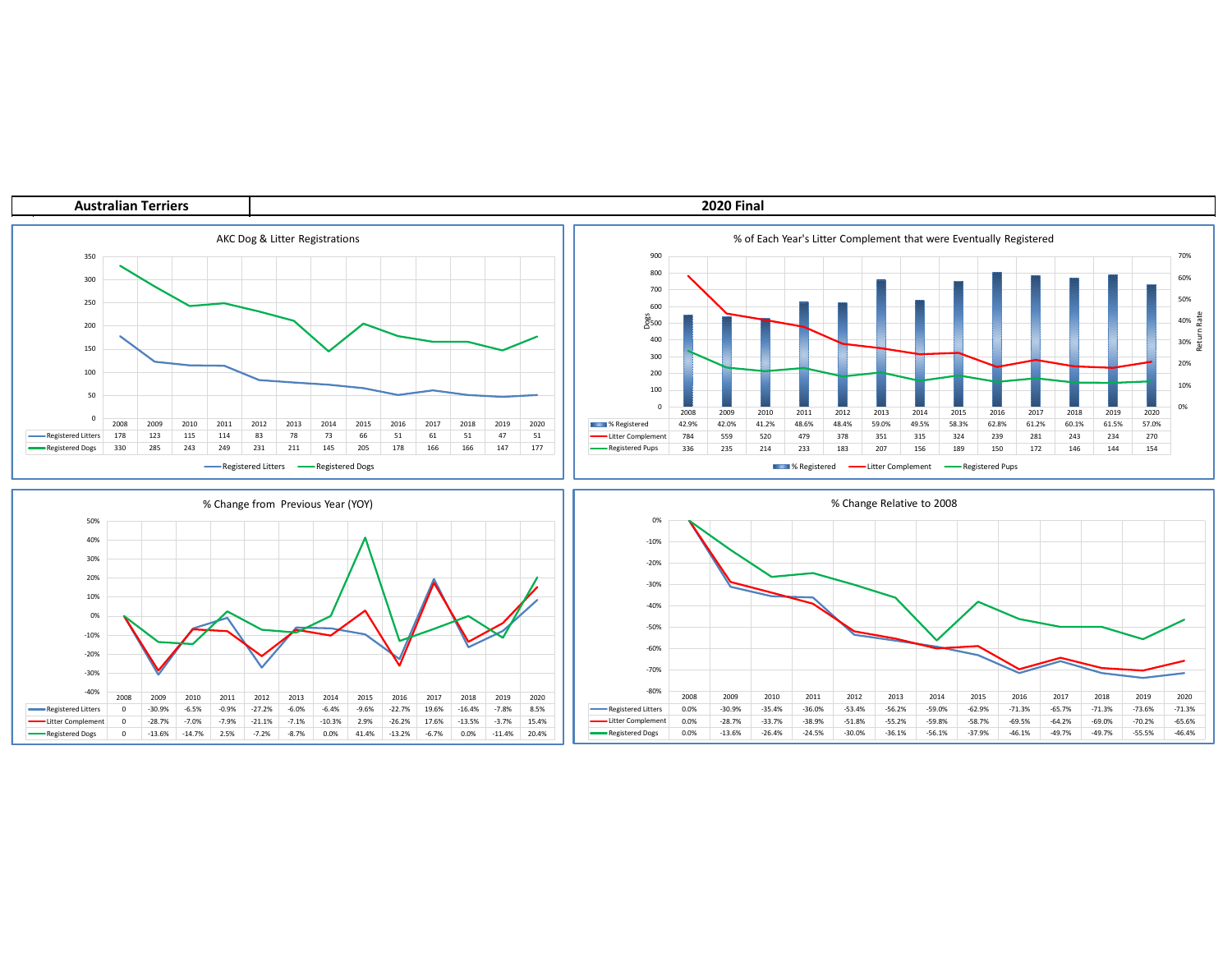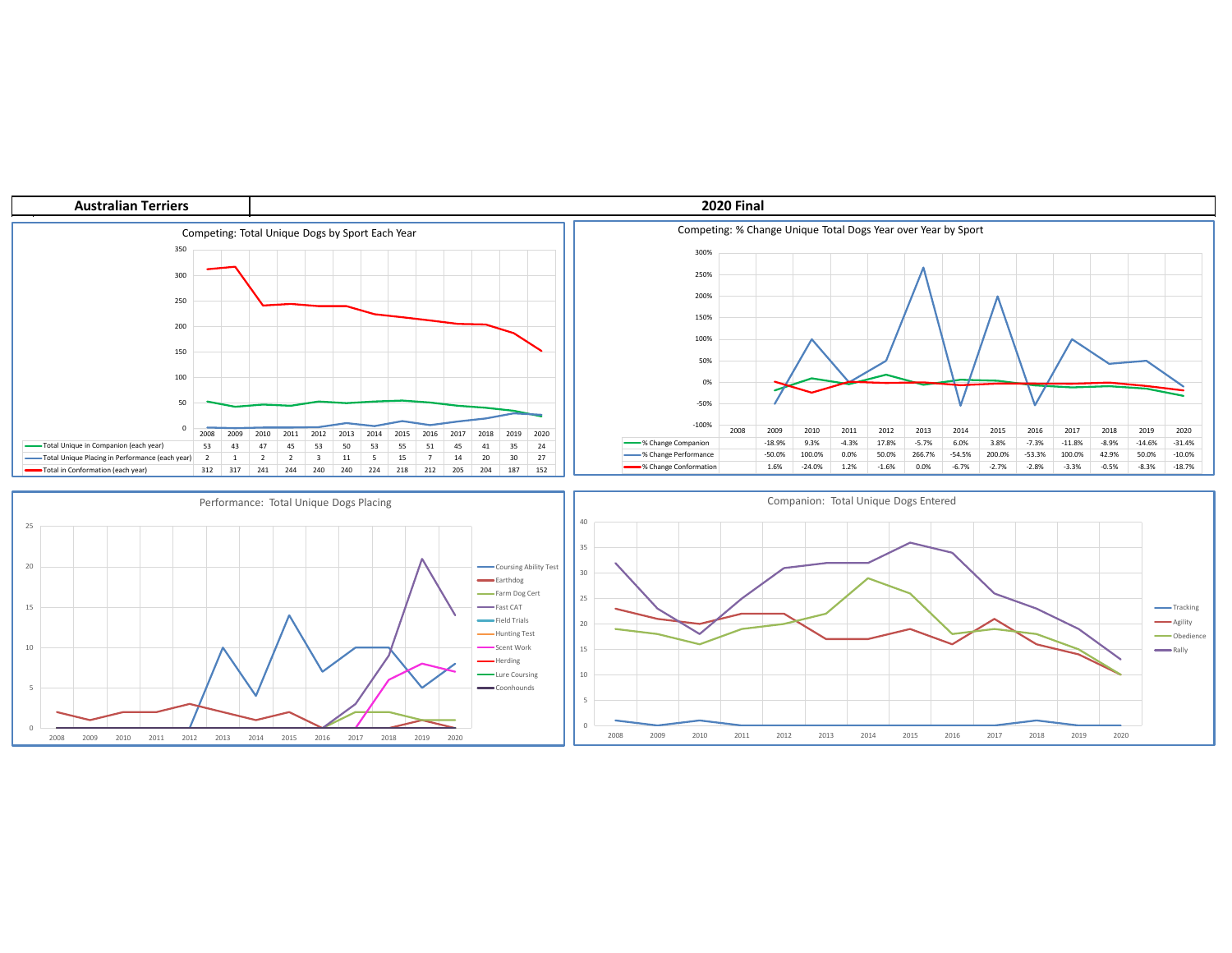